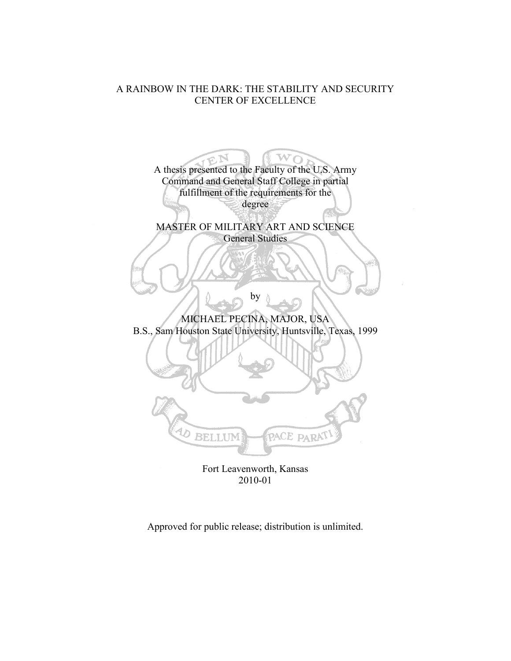## A RAINBOW IN THE DARK: THE STABILITY AND SECURITY CENTER OF EXCELLENCE

 $\mathcal{L} \mathcal{U}$ A thesis presented to the Faculty of the U.S. Army Command and General Staff College in partial fulfillment of the requirements for the degree MASTER OF MILITARY ART AND SCIENCE General Studies by MICHAEL PECINA, MAJOR, USA B.S., Sam Houston State University, Huntsville, Texas, 1999 D BELLUM ACE PARA Fort Leavenworth, Kansas

2010-01

Approved for public release; distribution is unlimited.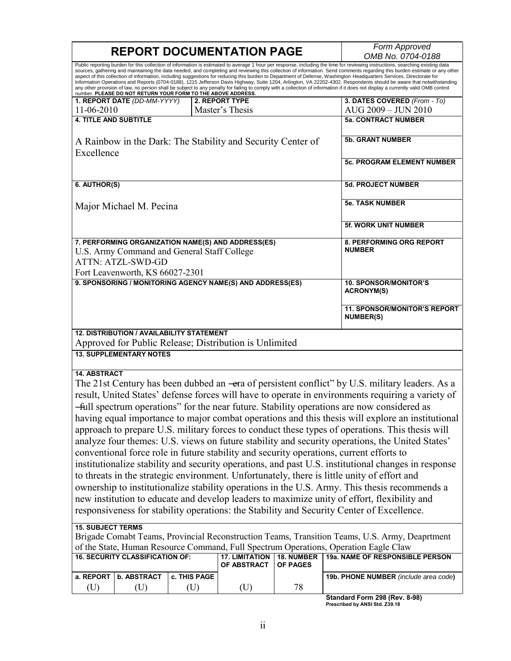| <b>REPORT DOCUMENTATION PAGE</b>                                                                                                                                                                                                                                                                                                                                                                                                                                                                                                                                                                                                                                                                                                                                                                                                                                                                                                                                  |                                        |              |                                                           | Form Approved                             |                                                                                                     |  |
|-------------------------------------------------------------------------------------------------------------------------------------------------------------------------------------------------------------------------------------------------------------------------------------------------------------------------------------------------------------------------------------------------------------------------------------------------------------------------------------------------------------------------------------------------------------------------------------------------------------------------------------------------------------------------------------------------------------------------------------------------------------------------------------------------------------------------------------------------------------------------------------------------------------------------------------------------------------------|----------------------------------------|--------------|-----------------------------------------------------------|-------------------------------------------|-----------------------------------------------------------------------------------------------------|--|
|                                                                                                                                                                                                                                                                                                                                                                                                                                                                                                                                                                                                                                                                                                                                                                                                                                                                                                                                                                   |                                        |              |                                                           | OMB No. 0704-0188                         |                                                                                                     |  |
| Public reporting burden for this collection of information is estimated to average 1 hour per response, including the time for reviewing instructions, searching existing data<br>sources, gathering and maintaining the data needed, and completing and reviewing this collection of information. Send comments regarding this burden estimate or any other<br>aspect of this collection of information, including suggestions for reducing this burden to Department of Defense, Washington Headquarters Services, Directorate for<br>Information Operations and Reports (0704-0188), 1215 Jefferson Davis Highway, Suite 1204, Arlington, VA 22202-4302. Respondents should be aware that notwithstanding<br>any other provision of law, no person shall be subject to any penalty for failing to comply with a collection of information if it does not display a currently valid OMB control<br>number. PLEASE DO NOT RETURN YOUR FORM TO THE ABOVE ADDRESS. |                                        |              |                                                           |                                           |                                                                                                     |  |
|                                                                                                                                                                                                                                                                                                                                                                                                                                                                                                                                                                                                                                                                                                                                                                                                                                                                                                                                                                   | 1. REPORT DATE (DD-MM-YYYY)            |              | 2. REPORT TYPE                                            |                                           | 3. DATES COVERED (From - To)                                                                        |  |
| 11-06-2010                                                                                                                                                                                                                                                                                                                                                                                                                                                                                                                                                                                                                                                                                                                                                                                                                                                                                                                                                        |                                        |              | Master's Thesis                                           |                                           | AUG 2009 - JUN 2010                                                                                 |  |
|                                                                                                                                                                                                                                                                                                                                                                                                                                                                                                                                                                                                                                                                                                                                                                                                                                                                                                                                                                   | <b>4. TITLE AND SUBTITLE</b>           |              |                                                           |                                           | <b>5a. CONTRACT NUMBER</b>                                                                          |  |
| A Rainbow in the Dark: The Stability and Security Center of<br>Excellence                                                                                                                                                                                                                                                                                                                                                                                                                                                                                                                                                                                                                                                                                                                                                                                                                                                                                         |                                        |              | <b>5b. GRANT NUMBER</b>                                   |                                           |                                                                                                     |  |
|                                                                                                                                                                                                                                                                                                                                                                                                                                                                                                                                                                                                                                                                                                                                                                                                                                                                                                                                                                   |                                        |              |                                                           | <b>5c. PROGRAM ELEMENT NUMBER</b>         |                                                                                                     |  |
| 6. AUTHOR(S)                                                                                                                                                                                                                                                                                                                                                                                                                                                                                                                                                                                                                                                                                                                                                                                                                                                                                                                                                      |                                        |              |                                                           |                                           | <b>5d. PROJECT NUMBER</b>                                                                           |  |
|                                                                                                                                                                                                                                                                                                                                                                                                                                                                                                                                                                                                                                                                                                                                                                                                                                                                                                                                                                   | Major Michael M. Pecina                |              |                                                           |                                           | <b>5e. TASK NUMBER</b>                                                                              |  |
|                                                                                                                                                                                                                                                                                                                                                                                                                                                                                                                                                                                                                                                                                                                                                                                                                                                                                                                                                                   |                                        |              |                                                           |                                           | <b>5f. WORK UNIT NUMBER</b>                                                                         |  |
| 7. PERFORMING ORGANIZATION NAME(S) AND ADDRESS(ES)<br>U.S. Army Command and General Staff College<br><b>ATTN: ATZL-SWD-GD</b><br>Fort Leavenworth, KS 66027-2301                                                                                                                                                                                                                                                                                                                                                                                                                                                                                                                                                                                                                                                                                                                                                                                                  |                                        |              |                                                           | 8. PERFORMING ORG REPORT<br><b>NUMBER</b> |                                                                                                     |  |
|                                                                                                                                                                                                                                                                                                                                                                                                                                                                                                                                                                                                                                                                                                                                                                                                                                                                                                                                                                   |                                        |              | 9. SPONSORING / MONITORING AGENCY NAME(S) AND ADDRESS(ES) |                                           | <b>10. SPONSOR/MONITOR'S</b>                                                                        |  |
|                                                                                                                                                                                                                                                                                                                                                                                                                                                                                                                                                                                                                                                                                                                                                                                                                                                                                                                                                                   |                                        |              |                                                           |                                           | <b>ACRONYM(S)</b>                                                                                   |  |
|                                                                                                                                                                                                                                                                                                                                                                                                                                                                                                                                                                                                                                                                                                                                                                                                                                                                                                                                                                   |                                        |              |                                                           |                                           | <b>11. SPONSOR/MONITOR'S REPORT</b><br><b>NUMBER(S)</b>                                             |  |
| <b>12. DISTRIBUTION / AVAILABILITY STATEMENT</b><br>Approved for Public Release; Distribution is Unlimited                                                                                                                                                                                                                                                                                                                                                                                                                                                                                                                                                                                                                                                                                                                                                                                                                                                        |                                        |              |                                                           |                                           |                                                                                                     |  |
|                                                                                                                                                                                                                                                                                                                                                                                                                                                                                                                                                                                                                                                                                                                                                                                                                                                                                                                                                                   | <b>13. SUPPLEMENTARY NOTES</b>         |              |                                                           |                                           |                                                                                                     |  |
| <b>14. ABSTRACT</b>                                                                                                                                                                                                                                                                                                                                                                                                                                                                                                                                                                                                                                                                                                                                                                                                                                                                                                                                               |                                        |              |                                                           |                                           |                                                                                                     |  |
|                                                                                                                                                                                                                                                                                                                                                                                                                                                                                                                                                                                                                                                                                                                                                                                                                                                                                                                                                                   |                                        |              |                                                           |                                           | The 21st Century has been dubbed an -era of persistent conflict" by U.S. military leaders. As a     |  |
|                                                                                                                                                                                                                                                                                                                                                                                                                                                                                                                                                                                                                                                                                                                                                                                                                                                                                                                                                                   |                                        |              |                                                           |                                           | result, United States' defense forces will have to operate in environments requiring a variety of   |  |
|                                                                                                                                                                                                                                                                                                                                                                                                                                                                                                                                                                                                                                                                                                                                                                                                                                                                                                                                                                   |                                        |              |                                                           |                                           | —full spectrum operations" for the near future. Stability operations are now considered as          |  |
|                                                                                                                                                                                                                                                                                                                                                                                                                                                                                                                                                                                                                                                                                                                                                                                                                                                                                                                                                                   |                                        |              |                                                           |                                           | having equal importance to major combat operations and this thesis will explore an institutional    |  |
|                                                                                                                                                                                                                                                                                                                                                                                                                                                                                                                                                                                                                                                                                                                                                                                                                                                                                                                                                                   |                                        |              |                                                           |                                           |                                                                                                     |  |
|                                                                                                                                                                                                                                                                                                                                                                                                                                                                                                                                                                                                                                                                                                                                                                                                                                                                                                                                                                   |                                        |              |                                                           |                                           | approach to prepare U.S. military forces to conduct these types of operations. This thesis will     |  |
|                                                                                                                                                                                                                                                                                                                                                                                                                                                                                                                                                                                                                                                                                                                                                                                                                                                                                                                                                                   |                                        |              |                                                           |                                           | analyze four themes: U.S. views on future stability and security operations, the United States'     |  |
| conventional force role in future stability and security operations, current efforts to                                                                                                                                                                                                                                                                                                                                                                                                                                                                                                                                                                                                                                                                                                                                                                                                                                                                           |                                        |              |                                                           |                                           |                                                                                                     |  |
|                                                                                                                                                                                                                                                                                                                                                                                                                                                                                                                                                                                                                                                                                                                                                                                                                                                                                                                                                                   |                                        |              |                                                           |                                           | institutionalize stability and security operations, and past U.S. institutional changes in response |  |
|                                                                                                                                                                                                                                                                                                                                                                                                                                                                                                                                                                                                                                                                                                                                                                                                                                                                                                                                                                   |                                        |              |                                                           |                                           | to threats in the strategic environment. Unfortunately, there is little unity of effort and         |  |
|                                                                                                                                                                                                                                                                                                                                                                                                                                                                                                                                                                                                                                                                                                                                                                                                                                                                                                                                                                   |                                        |              |                                                           |                                           |                                                                                                     |  |
| ownership to institutionalize stability operations in the U.S. Army. This thesis recommends a                                                                                                                                                                                                                                                                                                                                                                                                                                                                                                                                                                                                                                                                                                                                                                                                                                                                     |                                        |              |                                                           |                                           |                                                                                                     |  |
| new institution to educate and develop leaders to maximize unity of effort, flexibility and<br>responsiveness for stability operations: the Stability and Security Center of Excellence.                                                                                                                                                                                                                                                                                                                                                                                                                                                                                                                                                                                                                                                                                                                                                                          |                                        |              |                                                           |                                           |                                                                                                     |  |
| <b>15. SUBJECT TERMS</b>                                                                                                                                                                                                                                                                                                                                                                                                                                                                                                                                                                                                                                                                                                                                                                                                                                                                                                                                          |                                        |              |                                                           |                                           |                                                                                                     |  |
| Brigade Comabt Teams, Provincial Reconstruction Teams, Transition Teams, U.S. Army, Deaprtment                                                                                                                                                                                                                                                                                                                                                                                                                                                                                                                                                                                                                                                                                                                                                                                                                                                                    |                                        |              |                                                           |                                           |                                                                                                     |  |
| of the State, Human Resource Command, Full Spectrum Operations, Operation Eagle Claw                                                                                                                                                                                                                                                                                                                                                                                                                                                                                                                                                                                                                                                                                                                                                                                                                                                                              |                                        |              |                                                           |                                           |                                                                                                     |  |
|                                                                                                                                                                                                                                                                                                                                                                                                                                                                                                                                                                                                                                                                                                                                                                                                                                                                                                                                                                   | <b>16. SECURITY CLASSIFICATION OF:</b> |              | <b>17. LIMITATION</b><br>OF ABSTRACT                      | <b>18. NUMBER</b><br>OF PAGES             | 19a. NAME OF RESPONSIBLE PERSON                                                                     |  |
| a. REPORT                                                                                                                                                                                                                                                                                                                                                                                                                                                                                                                                                                                                                                                                                                                                                                                                                                                                                                                                                         | <b>b. ABSTRACT</b>                     | c. THIS PAGE |                                                           |                                           | 19b. PHONE NUMBER (include area code)                                                               |  |
| (U)                                                                                                                                                                                                                                                                                                                                                                                                                                                                                                                                                                                                                                                                                                                                                                                                                                                                                                                                                               | (U)                                    | (U)          | (U)                                                       | 78                                        |                                                                                                     |  |
|                                                                                                                                                                                                                                                                                                                                                                                                                                                                                                                                                                                                                                                                                                                                                                                                                                                                                                                                                                   |                                        |              |                                                           |                                           | Standard Form 298 (Rev. 8-98)<br>Prescribed by ANSI Std. Z39.18                                     |  |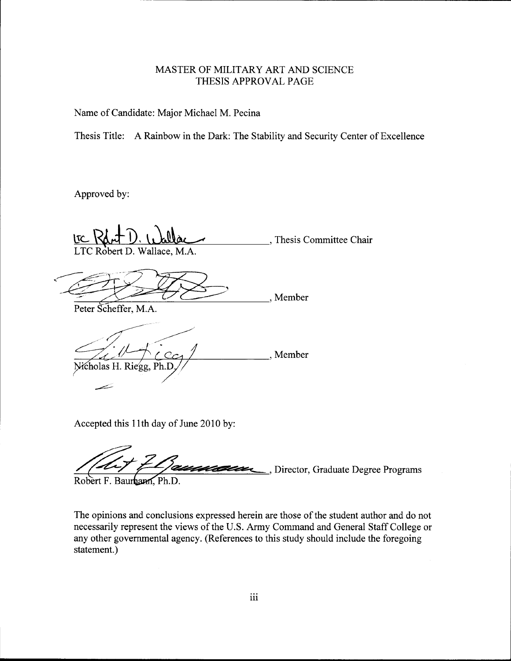### MASTER OF MILITARY ART AND SCIENCE THESIS APPROVAL PAGE

Name of Candidate: Major Michael M. Pecina

Thesis Title: A Rainbow in the Dark: The Stability and Security Center of Excellence

Approved by:

, Thesis Committee Chair LTC Robert D. Wallace, M.A.

<u>ITC Robert D. Wallace, M.A.</u><br>
LTC Robert D. Wallace, M.A.<br>
Peter Scheffer, M.A. , Member

, Member Nicholas H. Riegg, Ph.D

Accepted this 11th day of June 2010 by:

..., Director, Graduate Degree Programs

Robert F. Baurham, Ph.D.

The opinions and conclusions expressed herein are those of the student author and do not necessarily represent the views of the U.S. Army Command and General Staff College or any other governmental agency. (References to this study should include the foregoing statement.)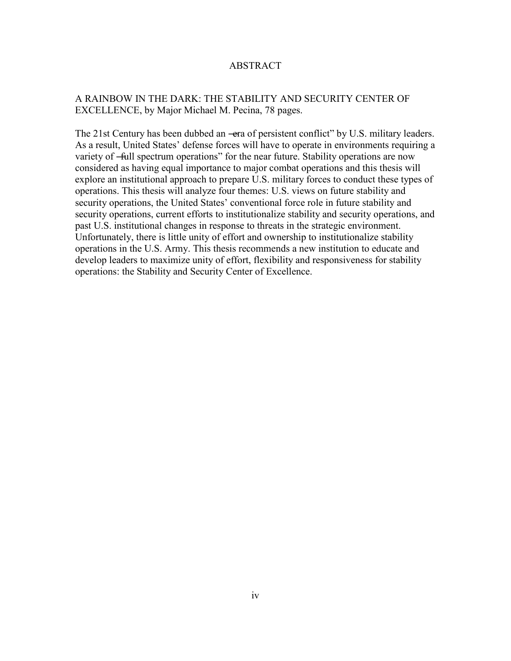### ABSTRACT

### A RAINBOW IN THE DARK: THE STABILITY AND SECURITY CENTER OF EXCELLENCE, by Major Michael M. Pecina, 78 pages.

The 21st Century has been dubbed an —era of persistent conflict" by U.S. military leaders. As a result, United States' defense forces will have to operate in environments requiring a variety of —full spectrum operations" for the near future. Stability operations are now considered as having equal importance to major combat operations and this thesis will explore an institutional approach to prepare U.S. military forces to conduct these types of operations. This thesis will analyze four themes: U.S. views on future stability and security operations, the United States' conventional force role in future stability and security operations, current efforts to institutionalize stability and security operations, and past U.S. institutional changes in response to threats in the strategic environment. Unfortunately, there is little unity of effort and ownership to institutionalize stability operations in the U.S. Army. This thesis recommends a new institution to educate and develop leaders to maximize unity of effort, flexibility and responsiveness for stability operations: the Stability and Security Center of Excellence.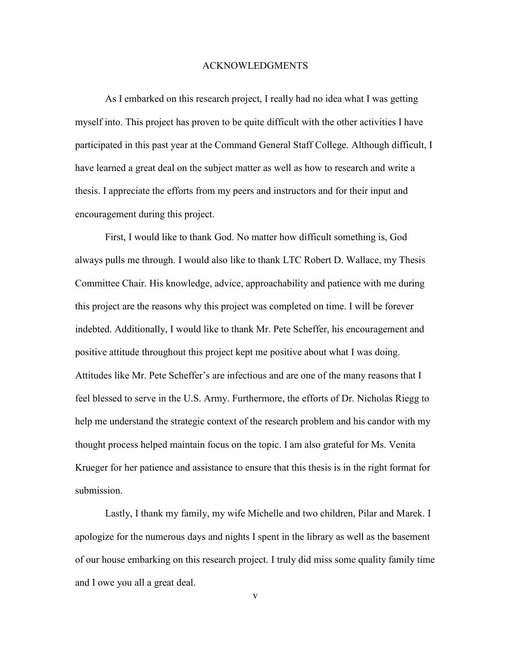#### ACKNOWLEDGMENTS

As I embarked on this research project, I really had no idea what I was getting myself into. This project has proven to be quite difficult with the other activities I have participated in this past year at the Command General Staff College. Although difficult, I have learned a great deal on the subject matter as well as how to research and write a thesis. I appreciate the efforts from my peers and instructors and for their input and encouragement during this project.

First, I would like to thank God. No matter how difficult something is, God always pulls me through. I would also like to thank LTC Robert D. Wallace, my Thesis Committee Chair. His knowledge, advice, approachability and patience with me during this project are the reasons why this project was completed on time. I will be forever indebted. Additionally, I would like to thank Mr. Pete Scheffer, his encouragement and positive attitude throughout this project kept me positive about what I was doing. Attitudes like Mr. Pete Scheffer's are infectious and are one of the many reasons that I feel blessed to serve in the U.S. Army. Furthermore, the efforts of Dr. Nicholas Riegg to help me understand the strategic context of the research problem and his candor with my thought process helped maintain focus on the topic. I am also grateful for Ms. Venita Krueger for her patience and assistance to ensure that this thesis is in the right format for submission.

Lastly, I thank my family, my wife Michelle and two children, Pilar and Marek. I apologize for the numerous days and nights I spent in the library as well as the basement of our house embarking on this research project. I truly did miss some quality family time and I owe you all a great deal.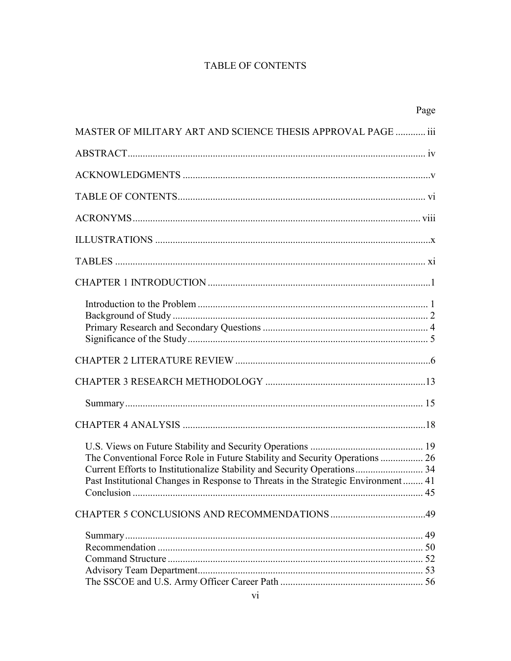# **TABLE OF CONTENTS**

|                                                                                   | Page |
|-----------------------------------------------------------------------------------|------|
| MASTER OF MILITARY ART AND SCIENCE THESIS APPROVAL PAGE  iii                      |      |
|                                                                                   |      |
|                                                                                   |      |
|                                                                                   |      |
|                                                                                   |      |
|                                                                                   |      |
|                                                                                   |      |
|                                                                                   |      |
|                                                                                   |      |
|                                                                                   |      |
|                                                                                   |      |
|                                                                                   |      |
|                                                                                   |      |
|                                                                                   |      |
|                                                                                   |      |
|                                                                                   |      |
| Current Efforts to Institutionalize Stability and Security Operations 34          |      |
| Past Institutional Changes in Response to Threats in the Strategic Environment 41 |      |
|                                                                                   |      |
|                                                                                   |      |
|                                                                                   |      |
|                                                                                   |      |
|                                                                                   |      |
|                                                                                   |      |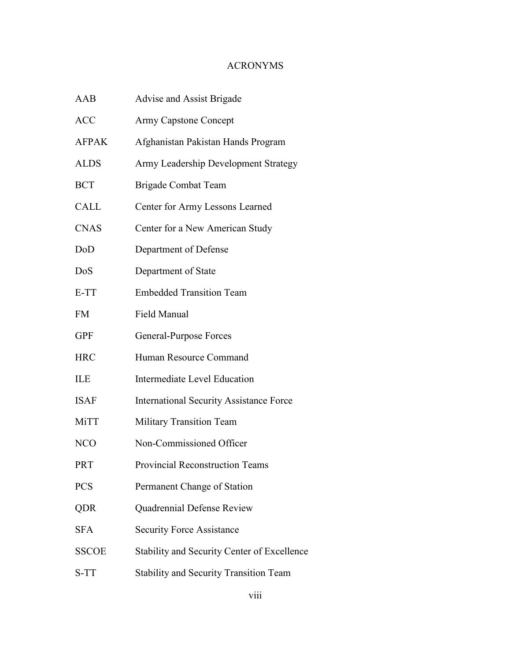# ACRONYMS

| <b>AAB</b>   | Advise and Assist Brigade                      |
|--------------|------------------------------------------------|
| <b>ACC</b>   | <b>Army Capstone Concept</b>                   |
| <b>AFPAK</b> | Afghanistan Pakistan Hands Program             |
| <b>ALDS</b>  | Army Leadership Development Strategy           |
| <b>BCT</b>   | <b>Brigade Combat Team</b>                     |
| CALL         | Center for Army Lessons Learned                |
| <b>CNAS</b>  | Center for a New American Study                |
| DoD          | Department of Defense                          |
| DoS          | Department of State                            |
| E-TT         | <b>Embedded Transition Team</b>                |
| <b>FM</b>    | <b>Field Manual</b>                            |
| <b>GPF</b>   | General-Purpose Forces                         |
| <b>HRC</b>   | Human Resource Command                         |
| <b>ILE</b>   | <b>Intermediate Level Education</b>            |
| <b>ISAF</b>  | <b>International Security Assistance Force</b> |
| MiTT         | <b>Military Transition Team</b>                |
| NCO          | Non-Commissioned Officer                       |
| PRT          | <b>Provincial Reconstruction Teams</b>         |
| <b>PCS</b>   | Permanent Change of Station                    |
| QDR          | Quadrennial Defense Review                     |
| <b>SFA</b>   | <b>Security Force Assistance</b>               |
| <b>SSCOE</b> | Stability and Security Center of Excellence    |
| S-TT         | <b>Stability and Security Transition Team</b>  |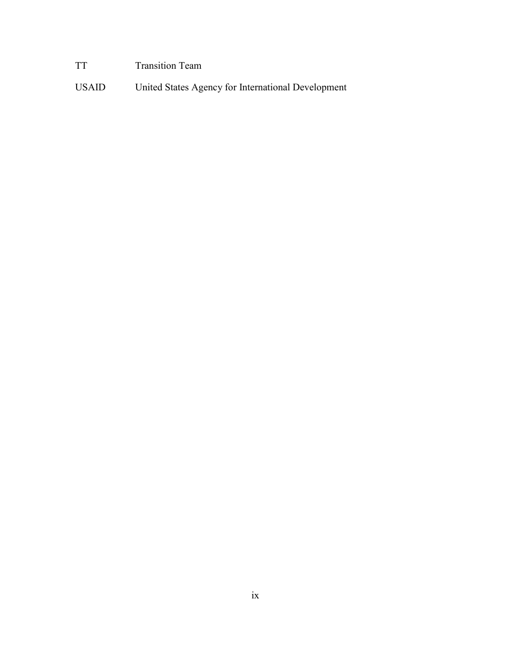# TT Transition Team

USAID United States Agency for International Development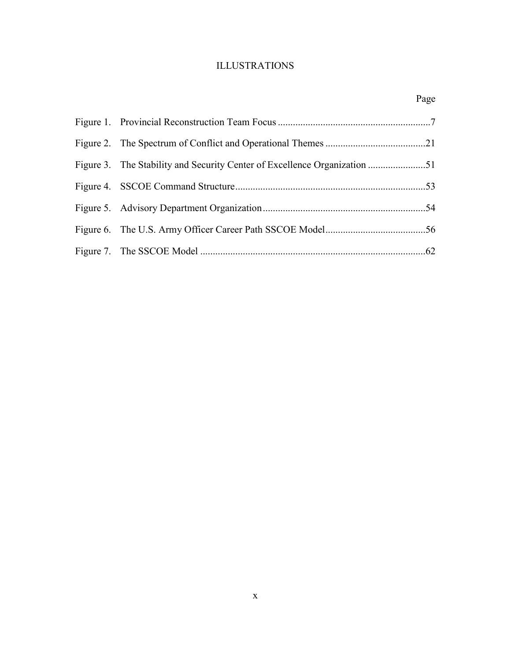# ILLUSTRATIONS

Page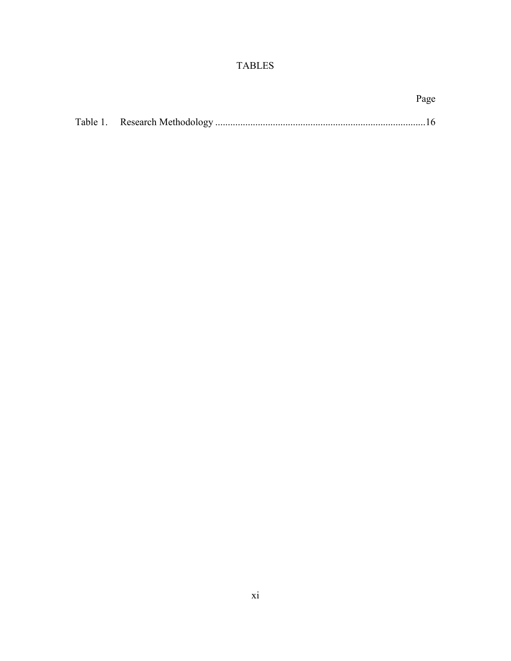# TABLES

|  | Page |
|--|------|
|  |      |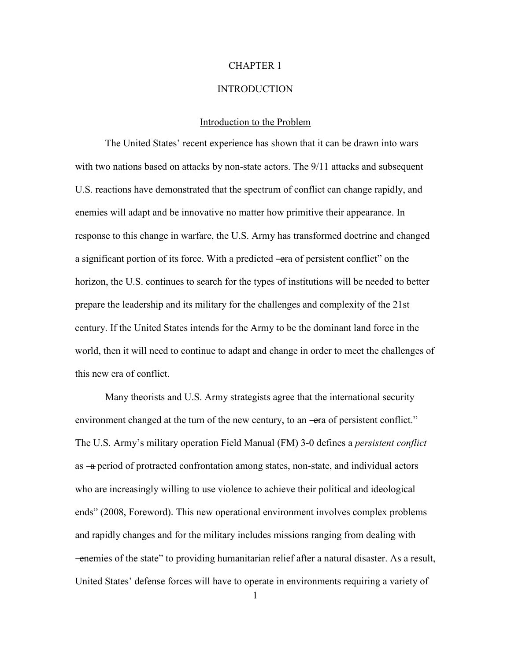#### CHAPTER 1

#### INTRODUCTION

#### Introduction to the Problem

The United States' recent experience has shown that it can be drawn into wars with two nations based on attacks by non-state actors. The 9/11 attacks and subsequent U.S. reactions have demonstrated that the spectrum of conflict can change rapidly, and enemies will adapt and be innovative no matter how primitive their appearance. In response to this change in warfare, the U.S. Army has transformed doctrine and changed a significant portion of its force. With a predicted —era of persistent conflict" on the horizon, the U.S. continues to search for the types of institutions will be needed to better prepare the leadership and its military for the challenges and complexity of the 21st century. If the United States intends for the Army to be the dominant land force in the world, then it will need to continue to adapt and change in order to meet the challenges of this new era of conflict.

Many theorists and U.S. Army strategists agree that the international security environment changed at the turn of the new century, to an —era of persistent conflict." The U.S. Army's military operation Field Manual (FM) 3-0 defines a *persistent conflict* as —a period of protracted confrontation among states, non-state, and individual actors who are increasingly willing to use violence to achieve their political and ideological ends" (2008, Foreword). This new operational environment involves complex problems and rapidly changes and for the military includes missions ranging from dealing with ―enemies of the state‖ to providing humanitarian relief after a natural disaster. As a result, United States' defense forces will have to operate in environments requiring a variety of

1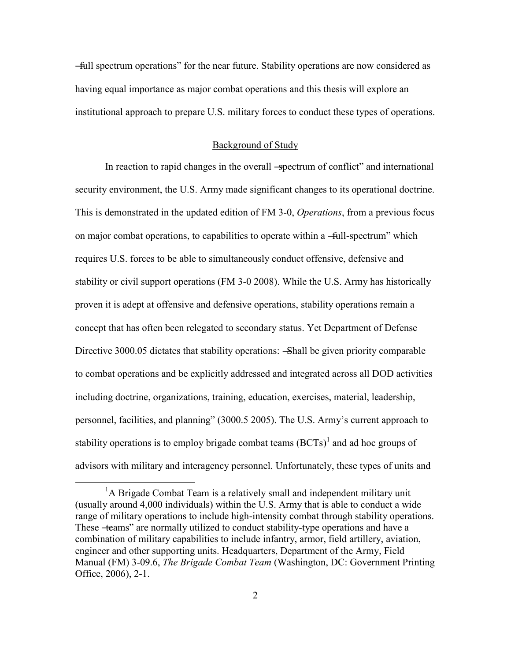―full spectrum operations‖ for the near future. Stability operations are now considered as having equal importance as major combat operations and this thesis will explore an institutional approach to prepare U.S. military forces to conduct these types of operations.

#### Background of Study

In reaction to rapid changes in the overall -spectrum of conflict" and international security environment, the U.S. Army made significant changes to its operational doctrine. This is demonstrated in the updated edition of FM 3-0, *Operations*, from a previous focus on major combat operations, to capabilities to operate within a —full-spectrum" which requires U.S. forces to be able to simultaneously conduct offensive, defensive and stability or civil support operations (FM 3-0 2008). While the U.S. Army has historically proven it is adept at offensive and defensive operations, stability operations remain a concept that has often been relegated to secondary status. Yet Department of Defense Directive 3000.05 dictates that stability operations: —Shall be given priority comparable to combat operations and be explicitly addressed and integrated across all DOD activities including doctrine, organizations, training, education, exercises, material, leadership, personnel, facilities, and planning" (3000.5 2005). The U.S. Army's current approach to stability operations is to employ brigade combat teams  $(BCTs)^{1}$  and ad hoc groups of advisors with military and interagency personnel. Unfortunately, these types of units and

 $\overline{a}$ 

 ${}^{1}$ A Brigade Combat Team is a relatively small and independent military unit (usually around 4,000 individuals) within the U.S. Army that is able to conduct a wide range of military operations to include high-intensity combat through stability operations. These -teams" are normally utilized to conduct stability-type operations and have a combination of military capabilities to include infantry, armor, field artillery, aviation, engineer and other supporting units. Headquarters, Department of the Army, Field Manual (FM) 3-09.6, *The Brigade Combat Team* (Washington, DC: Government Printing Office, 2006), 2-1.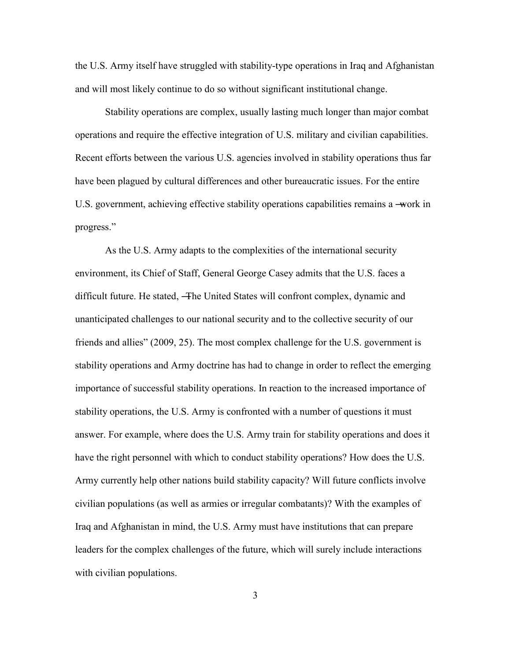the U.S. Army itself have struggled with stability-type operations in Iraq and Afghanistan and will most likely continue to do so without significant institutional change.

Stability operations are complex, usually lasting much longer than major combat operations and require the effective integration of U.S. military and civilian capabilities. Recent efforts between the various U.S. agencies involved in stability operations thus far have been plagued by cultural differences and other bureaucratic issues. For the entire U.S. government, achieving effective stability operations capabilities remains a —work in progress."

As the U.S. Army adapts to the complexities of the international security environment, its Chief of Staff, General George Casey admits that the U.S. faces a difficult future. He stated, ―The United States will confront complex, dynamic and unanticipated challenges to our national security and to the collective security of our friends and allies" (2009, 25). The most complex challenge for the U.S. government is stability operations and Army doctrine has had to change in order to reflect the emerging importance of successful stability operations. In reaction to the increased importance of stability operations, the U.S. Army is confronted with a number of questions it must answer. For example, where does the U.S. Army train for stability operations and does it have the right personnel with which to conduct stability operations? How does the U.S. Army currently help other nations build stability capacity? Will future conflicts involve civilian populations (as well as armies or irregular combatants)? With the examples of Iraq and Afghanistan in mind, the U.S. Army must have institutions that can prepare leaders for the complex challenges of the future, which will surely include interactions with civilian populations.

3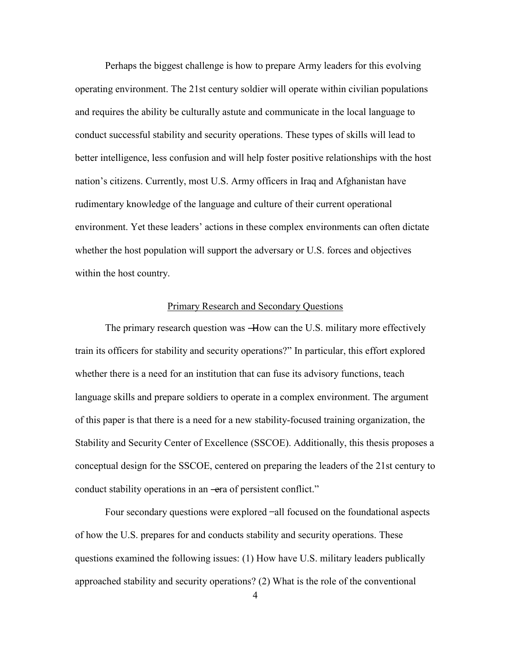Perhaps the biggest challenge is how to prepare Army leaders for this evolving operating environment. The 21st century soldier will operate within civilian populations and requires the ability be culturally astute and communicate in the local language to conduct successful stability and security operations. These types of skills will lead to better intelligence, less confusion and will help foster positive relationships with the host nation's citizens. Currently, most U.S. Army officers in Iraq and Afghanistan have rudimentary knowledge of the language and culture of their current operational environment. Yet these leaders' actions in these complex environments can often dictate whether the host population will support the adversary or U.S. forces and objectives within the host country.

### Primary Research and Secondary Questions

The primary research question was —How can the U.S. military more effectively train its officers for stability and security operations?" In particular, this effort explored whether there is a need for an institution that can fuse its advisory functions, teach language skills and prepare soldiers to operate in a complex environment. The argument of this paper is that there is a need for a new stability-focused training organization, the Stability and Security Center of Excellence (SSCOE). Additionally, this thesis proposes a conceptual design for the SSCOE, centered on preparing the leaders of the 21st century to conduct stability operations in an —era of persistent conflict."

Four secondary questions were explored ̶ all focused on the foundational aspects of how the U.S. prepares for and conducts stability and security operations. These questions examined the following issues: (1) How have U.S. military leaders publically approached stability and security operations? (2) What is the role of the conventional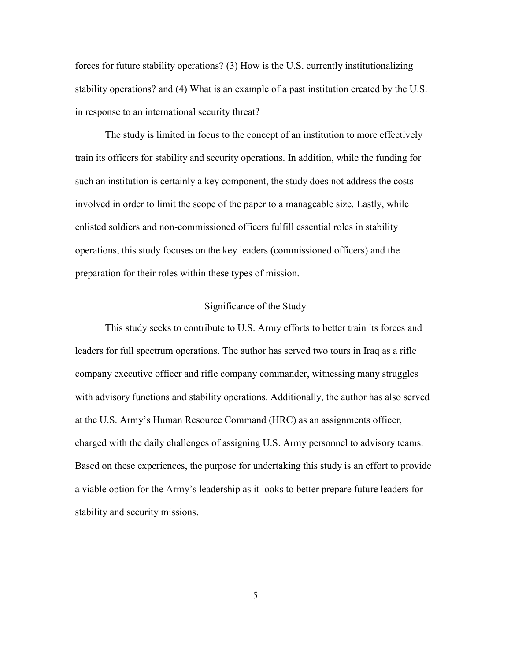forces for future stability operations? (3) How is the U.S. currently institutionalizing stability operations? and (4) What is an example of a past institution created by the U.S. in response to an international security threat?

The study is limited in focus to the concept of an institution to more effectively train its officers for stability and security operations. In addition, while the funding for such an institution is certainly a key component, the study does not address the costs involved in order to limit the scope of the paper to a manageable size. Lastly, while enlisted soldiers and non-commissioned officers fulfill essential roles in stability operations, this study focuses on the key leaders (commissioned officers) and the preparation for their roles within these types of mission.

#### Significance of the Study

This study seeks to contribute to U.S. Army efforts to better train its forces and leaders for full spectrum operations. The author has served two tours in Iraq as a rifle company executive officer and rifle company commander, witnessing many struggles with advisory functions and stability operations. Additionally, the author has also served at the U.S. Army's Human Resource Command (HRC) as an assignments officer, charged with the daily challenges of assigning U.S. Army personnel to advisory teams. Based on these experiences, the purpose for undertaking this study is an effort to provide a viable option for the Army's leadership as it looks to better prepare future leaders for stability and security missions.

5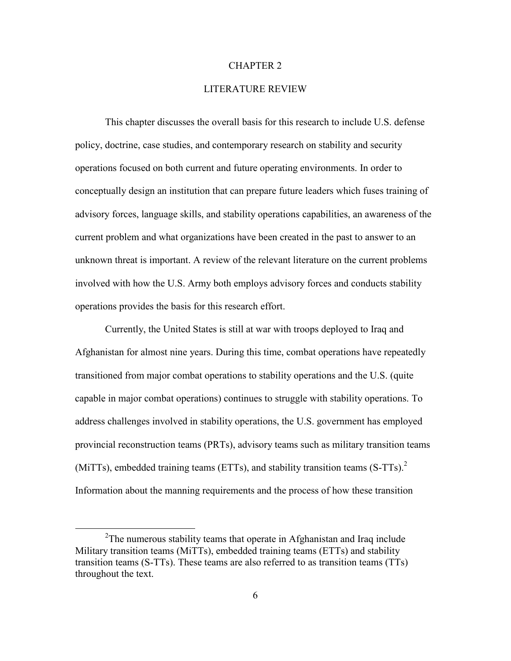#### CHAPTER 2

#### LITERATURE REVIEW

This chapter discusses the overall basis for this research to include U.S. defense policy, doctrine, case studies, and contemporary research on stability and security operations focused on both current and future operating environments. In order to conceptually design an institution that can prepare future leaders which fuses training of advisory forces, language skills, and stability operations capabilities, an awareness of the current problem and what organizations have been created in the past to answer to an unknown threat is important. A review of the relevant literature on the current problems involved with how the U.S. Army both employs advisory forces and conducts stability operations provides the basis for this research effort.

Currently, the United States is still at war with troops deployed to Iraq and Afghanistan for almost nine years. During this time, combat operations have repeatedly transitioned from major combat operations to stability operations and the U.S. (quite capable in major combat operations) continues to struggle with stability operations. To address challenges involved in stability operations, the U.S. government has employed provincial reconstruction teams (PRTs), advisory teams such as military transition teams (MiTTs), embedded training teams (ETTs), and stability transition teams  $(S-TTs)$ . Information about the manning requirements and the process of how these transition

 $\overline{a}$ 

 $2$ The numerous stability teams that operate in Afghanistan and Iraq include Military transition teams (MiTTs), embedded training teams (ETTs) and stability transition teams (S-TTs). These teams are also referred to as transition teams (TTs) throughout the text.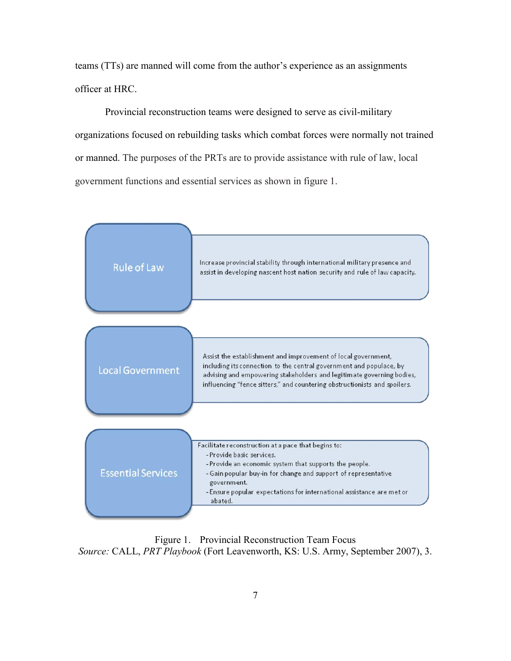teams (TTs) are manned will come from the author's experience as an assignments officer at HRC.

Provincial reconstruction teams were designed to serve as civil-military organizations focused on rebuilding tasks which combat forces were normally not trained or manned. The purposes of the PRTs are to provide assistance with rule of law, local government functions and essential services as shown in figure 1.



Figure 1. Provincial Reconstruction Team Focus *Source:* CALL, *PRT Playbook* (Fort Leavenworth, KS: U.S. Army, September 2007), 3.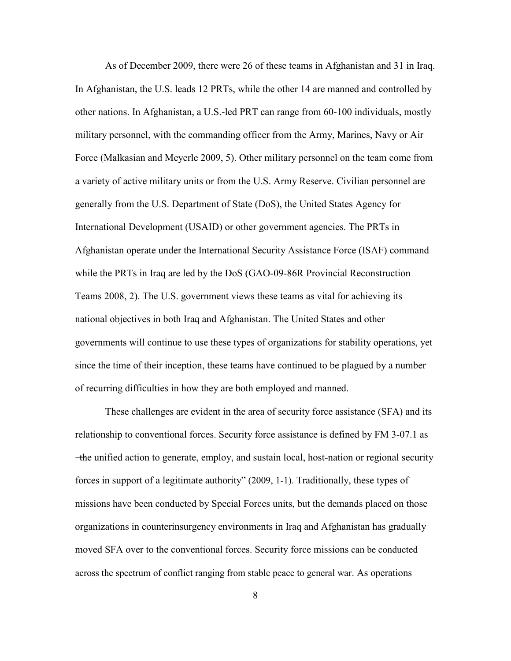As of December 2009, there were 26 of these teams in Afghanistan and 31 in Iraq. In Afghanistan, the U.S. leads 12 PRTs, while the other 14 are manned and controlled by other nations. In Afghanistan, a U.S.-led PRT can range from 60-100 individuals, mostly military personnel, with the commanding officer from the Army, Marines, Navy or Air Force (Malkasian and Meyerle 2009, 5). Other military personnel on the team come from a variety of active military units or from the U.S. Army Reserve. Civilian personnel are generally from the U.S. Department of State (DoS), the United States Agency for International Development (USAID) or other government agencies. The PRTs in Afghanistan operate under the International Security Assistance Force (ISAF) command while the PRTs in Iraq are led by the DoS (GAO-09-86R Provincial Reconstruction Teams 2008, 2). The U.S. government views these teams as vital for achieving its national objectives in both Iraq and Afghanistan. The United States and other governments will continue to use these types of organizations for stability operations, yet since the time of their inception, these teams have continued to be plagued by a number of recurring difficulties in how they are both employed and manned.

These challenges are evident in the area of security force assistance (SFA) and its relationship to conventional forces. Security force assistance is defined by FM 3-07.1 as ―the unified action to generate, employ, and sustain local, host-nation or regional security forces in support of a legitimate authority" (2009, 1-1). Traditionally, these types of missions have been conducted by Special Forces units, but the demands placed on those organizations in counterinsurgency environments in Iraq and Afghanistan has gradually moved SFA over to the conventional forces. Security force missions can be conducted across the spectrum of conflict ranging from stable peace to general war. As operations

8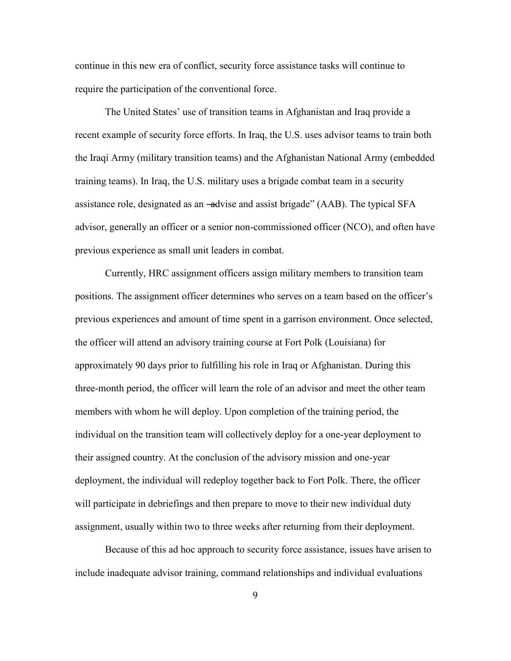continue in this new era of conflict, security force assistance tasks will continue to require the participation of the conventional force.

The United States' use of transition teams in Afghanistan and Iraq provide a recent example of security force efforts. In Iraq, the U.S. uses advisor teams to train both the Iraqi Army (military transition teams) and the Afghanistan National Army (embedded training teams). In Iraq, the U.S. military uses a brigade combat team in a security assistance role, designated as an -advise and assist brigade" (AAB). The typical SFA advisor, generally an officer or a senior non-commissioned officer (NCO), and often have previous experience as small unit leaders in combat.

Currently, HRC assignment officers assign military members to transition team positions. The assignment officer determines who serves on a team based on the officer's previous experiences and amount of time spent in a garrison environment. Once selected, the officer will attend an advisory training course at Fort Polk (Louisiana) for approximately 90 days prior to fulfilling his role in Iraq or Afghanistan. During this three-month period, the officer will learn the role of an advisor and meet the other team members with whom he will deploy. Upon completion of the training period, the individual on the transition team will collectively deploy for a one-year deployment to their assigned country. At the conclusion of the advisory mission and one-year deployment, the individual will redeploy together back to Fort Polk. There, the officer will participate in debriefings and then prepare to move to their new individual duty assignment, usually within two to three weeks after returning from their deployment.

Because of this ad hoc approach to security force assistance, issues have arisen to include inadequate advisor training, command relationships and individual evaluations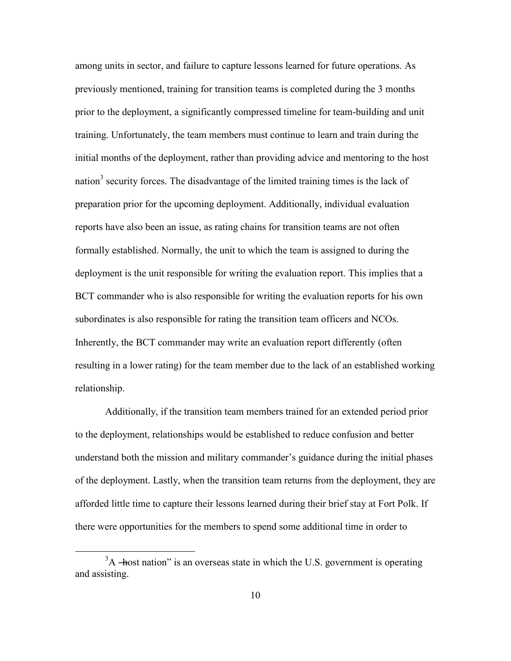among units in sector, and failure to capture lessons learned for future operations. As previously mentioned, training for transition teams is completed during the 3 months prior to the deployment, a significantly compressed timeline for team-building and unit training. Unfortunately, the team members must continue to learn and train during the initial months of the deployment, rather than providing advice and mentoring to the host nation<sup>3</sup> security forces. The disadvantage of the limited training times is the lack of preparation prior for the upcoming deployment. Additionally, individual evaluation reports have also been an issue, as rating chains for transition teams are not often formally established. Normally, the unit to which the team is assigned to during the deployment is the unit responsible for writing the evaluation report. This implies that a BCT commander who is also responsible for writing the evaluation reports for his own subordinates is also responsible for rating the transition team officers and NCOs. Inherently, the BCT commander may write an evaluation report differently (often resulting in a lower rating) for the team member due to the lack of an established working relationship.

Additionally, if the transition team members trained for an extended period prior to the deployment, relationships would be established to reduce confusion and better understand both the mission and military commander's guidance during the initial phases of the deployment. Lastly, when the transition team returns from the deployment, they are afforded little time to capture their lessons learned during their brief stay at Fort Polk. If there were opportunities for the members to spend some additional time in order to

 $\overline{a}$ 

 $3<sup>3</sup>A$  —host nation" is an overseas state in which the U.S. government is operating and assisting.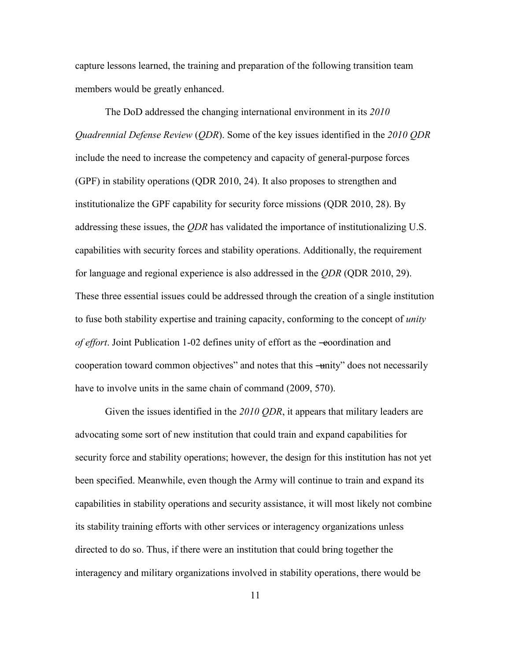capture lessons learned, the training and preparation of the following transition team members would be greatly enhanced.

The DoD addressed the changing international environment in its *2010 Quadrennial Defense Review* (*QDR*). Some of the key issues identified in the *2010 QDR* include the need to increase the competency and capacity of general-purpose forces (GPF) in stability operations (QDR 2010, 24). It also proposes to strengthen and institutionalize the GPF capability for security force missions (QDR 2010, 28). By addressing these issues, the *QDR* has validated the importance of institutionalizing U.S. capabilities with security forces and stability operations. Additionally, the requirement for language and regional experience is also addressed in the *QDR* (QDR 2010, 29). These three essential issues could be addressed through the creation of a single institution to fuse both stability expertise and training capacity, conforming to the concept of *unity of effort*. Joint Publication 1-02 defines unity of effort as the -eoordination and cooperation toward common objectives" and notes that this —unity" does not necessarily have to involve units in the same chain of command (2009, 570).

Given the issues identified in the *2010 QDR*, it appears that military leaders are advocating some sort of new institution that could train and expand capabilities for security force and stability operations; however, the design for this institution has not yet been specified. Meanwhile, even though the Army will continue to train and expand its capabilities in stability operations and security assistance, it will most likely not combine its stability training efforts with other services or interagency organizations unless directed to do so. Thus, if there were an institution that could bring together the interagency and military organizations involved in stability operations, there would be

11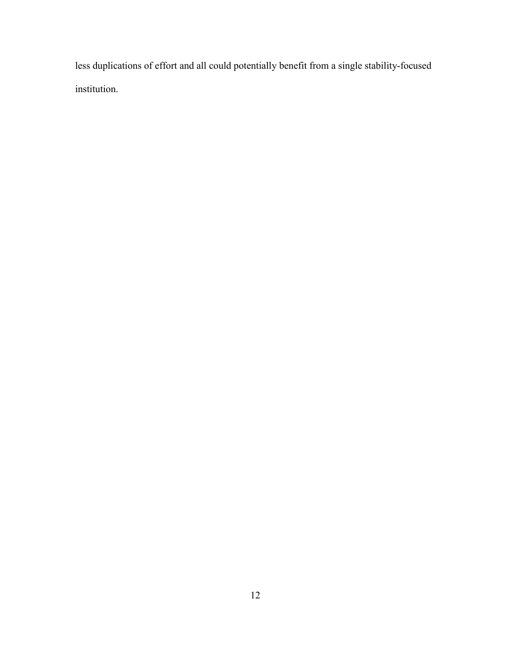less duplications of effort and all could potentially benefit from a single stability-focused institution.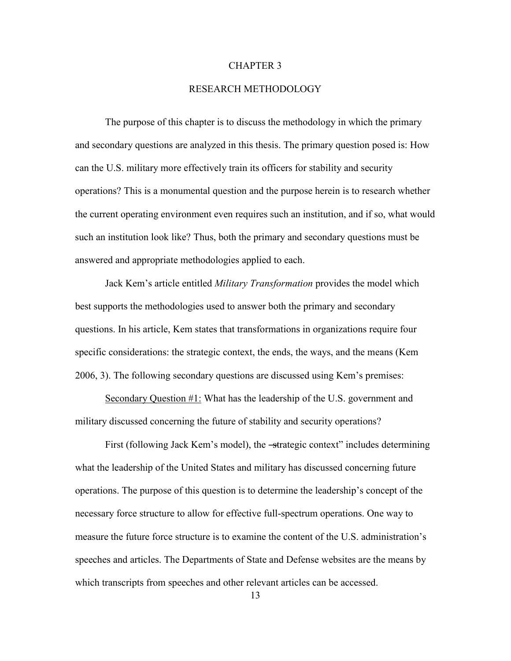#### CHAPTER 3

#### RESEARCH METHODOLOGY

The purpose of this chapter is to discuss the methodology in which the primary and secondary questions are analyzed in this thesis. The primary question posed is: How can the U.S. military more effectively train its officers for stability and security operations? This is a monumental question and the purpose herein is to research whether the current operating environment even requires such an institution, and if so, what would such an institution look like? Thus, both the primary and secondary questions must be answered and appropriate methodologies applied to each.

Jack Kem's article entitled *Military Transformation* provides the model which best supports the methodologies used to answer both the primary and secondary questions. In his article, Kem states that transformations in organizations require four specific considerations: the strategic context, the ends, the ways, and the means (Kem 2006, 3). The following secondary questions are discussed using Kem's premises:

Secondary Question #1: What has the leadership of the U.S. government and military discussed concerning the future of stability and security operations?

First (following Jack Kem's model), the -strategic context" includes determining what the leadership of the United States and military has discussed concerning future operations. The purpose of this question is to determine the leadership's concept of the necessary force structure to allow for effective full-spectrum operations. One way to measure the future force structure is to examine the content of the U.S. administration's speeches and articles. The Departments of State and Defense websites are the means by which transcripts from speeches and other relevant articles can be accessed.

13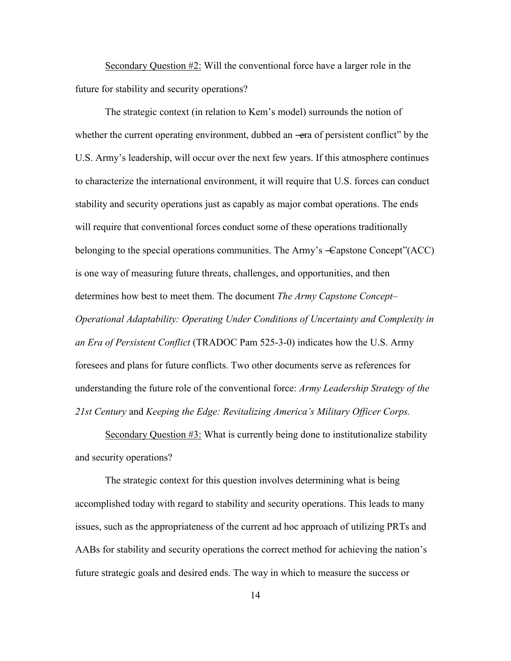Secondary Question #2: Will the conventional force have a larger role in the future for stability and security operations?

The strategic context (in relation to Kem's model) surrounds the notion of whether the current operating environment, dubbed an —era of persistent conflict" by the U.S. Army's leadership, will occur over the next few years. If this atmosphere continues to characterize the international environment, it will require that U.S. forces can conduct stability and security operations just as capably as major combat operations. The ends will require that conventional forces conduct some of these operations traditionally belonging to the special operations communities. The Army's  $\equiv$  Capstone Concept''(ACC) is one way of measuring future threats, challenges, and opportunities, and then determines how best to meet them. The document *The Army Capstone Concept– Operational Adaptability: Operating Under Conditions of Uncertainty and Complexity in an Era of Persistent Conflict* (TRADOC Pam 525-3-0) indicates how the U.S. Army foresees and plans for future conflicts. Two other documents serve as references for understanding the future role of the conventional force: *Army Leadership Strategy of the 21st Century* and *Keeping the Edge: Revitalizing America's Military Officer Corps.*

Secondary Question #3: What is currently being done to institutionalize stability and security operations?

The strategic context for this question involves determining what is being accomplished today with regard to stability and security operations. This leads to many issues, such as the appropriateness of the current ad hoc approach of utilizing PRTs and AABs for stability and security operations the correct method for achieving the nation's future strategic goals and desired ends. The way in which to measure the success or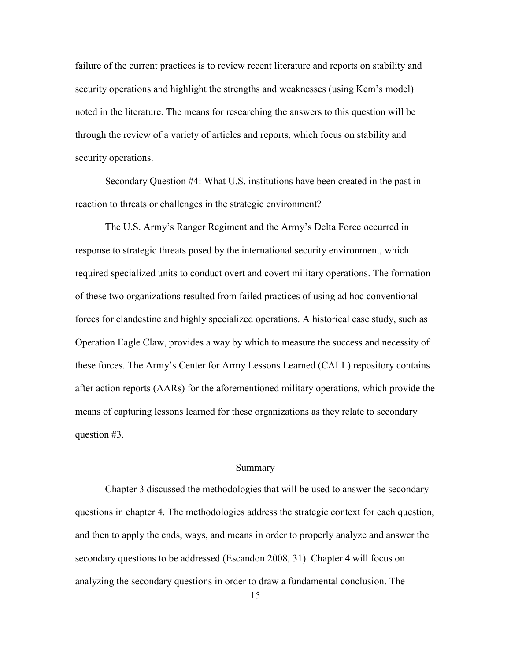failure of the current practices is to review recent literature and reports on stability and security operations and highlight the strengths and weaknesses (using Kem's model) noted in the literature. The means for researching the answers to this question will be through the review of a variety of articles and reports, which focus on stability and security operations.

Secondary Question #4: What U.S. institutions have been created in the past in reaction to threats or challenges in the strategic environment?

The U.S. Army's Ranger Regiment and the Army's Delta Force occurred in response to strategic threats posed by the international security environment, which required specialized units to conduct overt and covert military operations. The formation of these two organizations resulted from failed practices of using ad hoc conventional forces for clandestine and highly specialized operations. A historical case study, such as Operation Eagle Claw, provides a way by which to measure the success and necessity of these forces. The Army's Center for Army Lessons Learned (CALL) repository contains after action reports (AARs) for the aforementioned military operations, which provide the means of capturing lessons learned for these organizations as they relate to secondary question #3.

#### Summary

Chapter 3 discussed the methodologies that will be used to answer the secondary questions in chapter 4. The methodologies address the strategic context for each question, and then to apply the ends, ways, and means in order to properly analyze and answer the secondary questions to be addressed (Escandon 2008, 31). Chapter 4 will focus on analyzing the secondary questions in order to draw a fundamental conclusion. The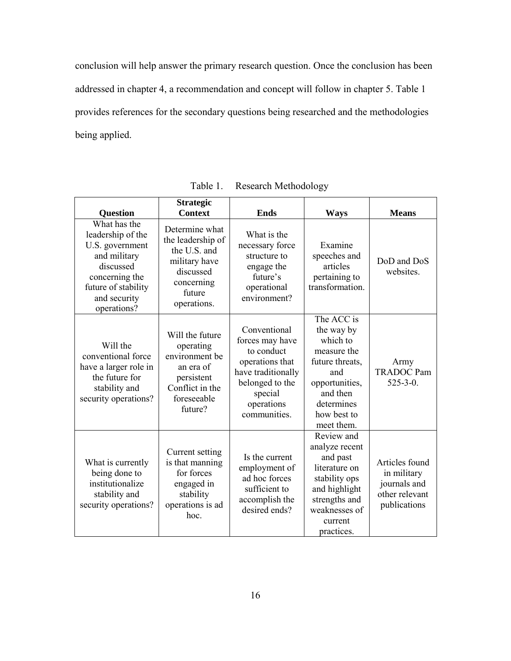conclusion will help answer the primary research question. Once the conclusion has been addressed in chapter 4, a recommendation and concept will follow in chapter 5. Table 1 provides references for the secondary questions being researched and the methodologies being applied.

| <b>Question</b>                                                                                                                                           | <b>Strategic</b><br><b>Context</b>                                                                                       | <b>Ends</b>                                                                                                                                        | <b>Ways</b>                                                                                                                                            | <b>Means</b>                                                                    |
|-----------------------------------------------------------------------------------------------------------------------------------------------------------|--------------------------------------------------------------------------------------------------------------------------|----------------------------------------------------------------------------------------------------------------------------------------------------|--------------------------------------------------------------------------------------------------------------------------------------------------------|---------------------------------------------------------------------------------|
| What has the<br>leadership of the<br>U.S. government<br>and military<br>discussed<br>concerning the<br>future of stability<br>and security<br>operations? | Determine what<br>the leadership of<br>the U.S. and<br>military have<br>discussed<br>concerning<br>future<br>operations. | What is the<br>necessary force<br>structure to<br>engage the<br>future's<br>operational<br>environment?                                            | Examine<br>speeches and<br>articles<br>pertaining to<br>transformation.                                                                                | DoD and DoS<br>websites.                                                        |
| Will the<br>conventional force<br>have a larger role in<br>the future for<br>stability and<br>security operations?                                        | Will the future<br>operating<br>environment be<br>an era of<br>persistent<br>Conflict in the<br>foreseeable<br>future?   | Conventional<br>forces may have<br>to conduct<br>operations that<br>have traditionally<br>belonged to the<br>special<br>operations<br>communities. | The ACC is<br>the way by<br>which to<br>measure the<br>future threats,<br>and<br>opportunities,<br>and then<br>determines<br>how best to<br>meet them. | Army<br><b>TRADOC Pam</b><br>$525 - 3 - 0$ .                                    |
| What is currently<br>being done to<br>institutionalize<br>stability and<br>security operations?                                                           | Current setting<br>is that manning<br>for forces<br>engaged in<br>stability<br>operations is ad<br>hoc.                  | Is the current<br>employment of<br>ad hoc forces<br>sufficient to<br>accomplish the<br>desired ends?                                               | Review and<br>analyze recent<br>and past<br>literature on<br>stability ops<br>and highlight<br>strengths and<br>weaknesses of<br>current<br>practices. | Articles found<br>in military<br>journals and<br>other relevant<br>publications |

Table 1. Research Methodology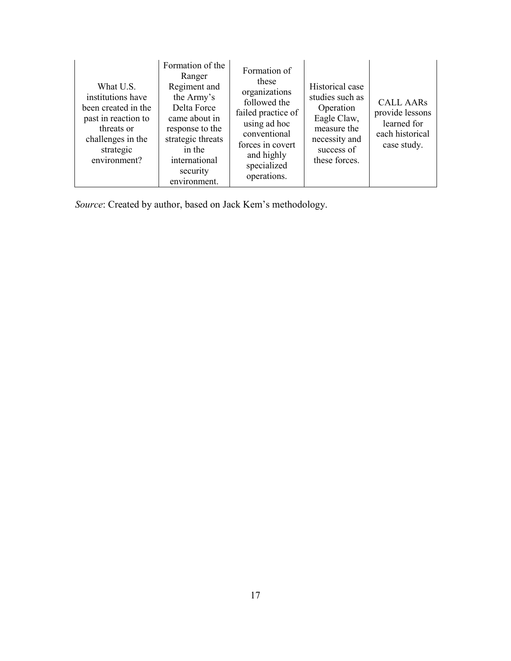| What U.S.<br>institutions have<br>been created in the<br>past in reaction to<br>threats or<br>challenges in the<br>strategic<br>environment? | Formation of the<br>Ranger<br>Regiment and<br>the Army's<br>Delta Force<br>came about in<br>response to the<br>strategic threats<br>in the<br>international<br>security<br>environment. | Formation of<br>these<br>organizations<br>followed the<br>failed practice of<br>using ad hoc<br>conventional<br>forces in covert<br>and highly<br>specialized<br>operations. | Historical case<br>studies such as<br>Operation<br>Eagle Claw,<br>measure the<br>necessity and<br>success of<br>these forces. | <b>CALL AARs</b><br>provide lessons<br>learned for<br>each historical<br>case study. |
|----------------------------------------------------------------------------------------------------------------------------------------------|-----------------------------------------------------------------------------------------------------------------------------------------------------------------------------------------|------------------------------------------------------------------------------------------------------------------------------------------------------------------------------|-------------------------------------------------------------------------------------------------------------------------------|--------------------------------------------------------------------------------------|
|----------------------------------------------------------------------------------------------------------------------------------------------|-----------------------------------------------------------------------------------------------------------------------------------------------------------------------------------------|------------------------------------------------------------------------------------------------------------------------------------------------------------------------------|-------------------------------------------------------------------------------------------------------------------------------|--------------------------------------------------------------------------------------|

*Source*: Created by author, based on Jack Kem's methodology.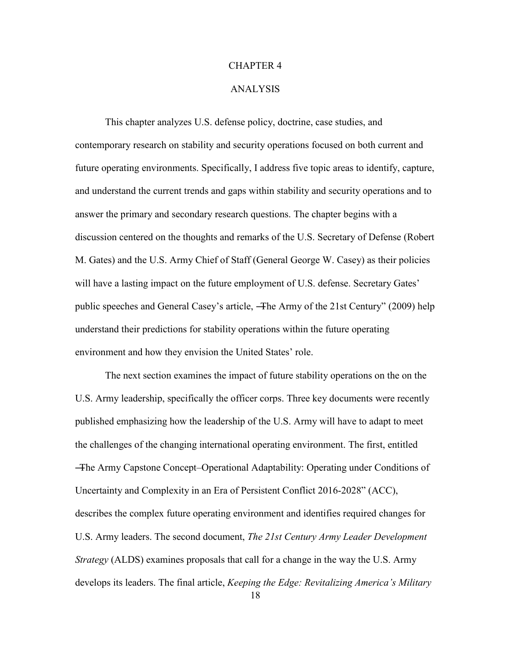#### CHAPTER 4

#### ANALYSIS

This chapter analyzes U.S. defense policy, doctrine, case studies, and contemporary research on stability and security operations focused on both current and future operating environments. Specifically, I address five topic areas to identify, capture, and understand the current trends and gaps within stability and security operations and to answer the primary and secondary research questions. The chapter begins with a discussion centered on the thoughts and remarks of the U.S. Secretary of Defense (Robert M. Gates) and the U.S. Army Chief of Staff (General George W. Casey) as their policies will have a lasting impact on the future employment of U.S. defense. Secretary Gates' public speeches and General Casey's article, —The Army of the 21st Century" (2009) help understand their predictions for stability operations within the future operating environment and how they envision the United States' role.

The next section examines the impact of future stability operations on the on the U.S. Army leadership, specifically the officer corps. Three key documents were recently published emphasizing how the leadership of the U.S. Army will have to adapt to meet the challenges of the changing international operating environment. The first, entitled ―The Army Capstone Concept–Operational Adaptability: Operating under Conditions of Uncertainty and Complexity in an Era of Persistent Conflict 2016-2028" (ACC), describes the complex future operating environment and identifies required changes for U.S. Army leaders. The second document, *The 21st Century Army Leader Development Strategy* (ALDS) examines proposals that call for a change in the way the U.S. Army develops its leaders. The final article, *Keeping the Edge: Revitalizing America's Military*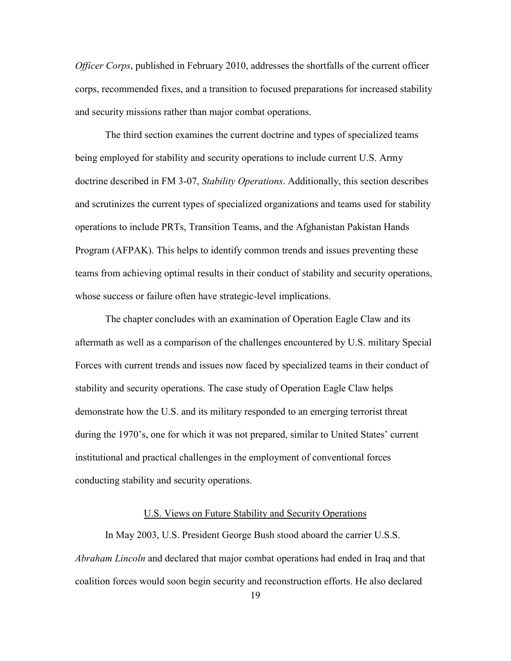*Officer Corps*, published in February 2010, addresses the shortfalls of the current officer corps, recommended fixes, and a transition to focused preparations for increased stability and security missions rather than major combat operations.

The third section examines the current doctrine and types of specialized teams being employed for stability and security operations to include current U.S. Army doctrine described in FM 3-07, *Stability Operations*. Additionally, this section describes and scrutinizes the current types of specialized organizations and teams used for stability operations to include PRTs, Transition Teams, and the Afghanistan Pakistan Hands Program (AFPAK). This helps to identify common trends and issues preventing these teams from achieving optimal results in their conduct of stability and security operations, whose success or failure often have strategic-level implications.

The chapter concludes with an examination of Operation Eagle Claw and its aftermath as well as a comparison of the challenges encountered by U.S. military Special Forces with current trends and issues now faced by specialized teams in their conduct of stability and security operations. The case study of Operation Eagle Claw helps demonstrate how the U.S. and its military responded to an emerging terrorist threat during the 1970's, one for which it was not prepared, similar to United States' current institutional and practical challenges in the employment of conventional forces conducting stability and security operations.

#### U.S. Views on Future Stability and Security Operations

In May 2003, U.S. President George Bush stood aboard the carrier U.S.S. *Abraham Lincoln* and declared that major combat operations had ended in Iraq and that coalition forces would soon begin security and reconstruction efforts. He also declared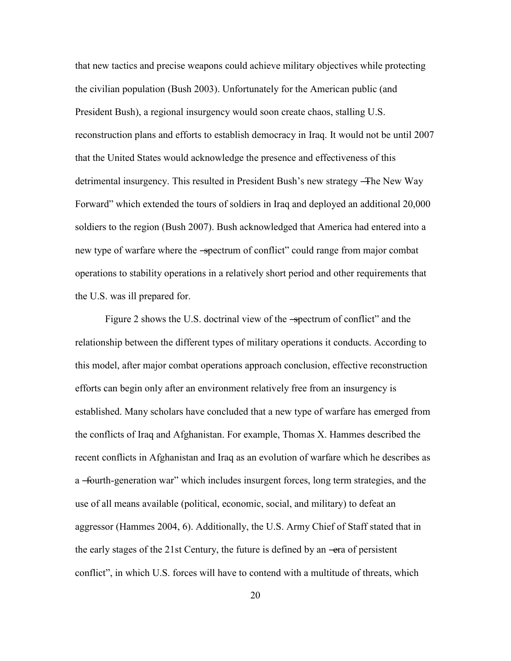that new tactics and precise weapons could achieve military objectives while protecting the civilian population (Bush 2003). Unfortunately for the American public (and President Bush), a regional insurgency would soon create chaos, stalling U.S. reconstruction plans and efforts to establish democracy in Iraq. It would not be until 2007 that the United States would acknowledge the presence and effectiveness of this detrimental insurgency. This resulted in President Bush's new strategy ―The New Way Forward" which extended the tours of soldiers in Iraq and deployed an additional 20,000 soldiers to the region (Bush 2007). Bush acknowledged that America had entered into a new type of warfare where the -spectrum of conflict" could range from major combat operations to stability operations in a relatively short period and other requirements that the U.S. was ill prepared for.

Figure 2 shows the U.S. doctrinal view of the -spectrum of conflict" and the relationship between the different types of military operations it conducts. According to this model, after major combat operations approach conclusion, effective reconstruction efforts can begin only after an environment relatively free from an insurgency is established. Many scholars have concluded that a new type of warfare has emerged from the conflicts of Iraq and Afghanistan. For example, Thomas X. Hammes described the recent conflicts in Afghanistan and Iraq as an evolution of warfare which he describes as a -fourth-generation war" which includes insurgent forces, long term strategies, and the use of all means available (political, economic, social, and military) to defeat an aggressor (Hammes 2004, 6). Additionally, the U.S. Army Chief of Staff stated that in the early stages of the 21st Century, the future is defined by an —era of persistent conflict", in which U.S. forces will have to contend with a multitude of threats, which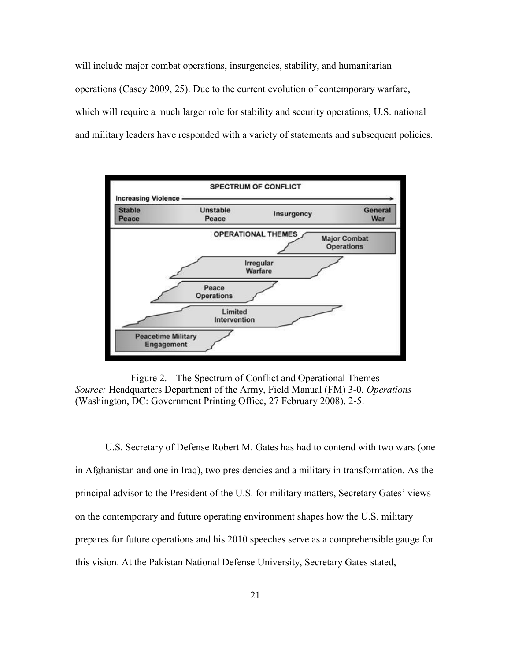will include major combat operations, insurgencies, stability, and humanitarian operations (Casey 2009, 25). Due to the current evolution of contemporary warfare, which will require a much larger role for stability and security operations, U.S. national and military leaders have responded with a variety of statements and subsequent policies.



Figure 2. The Spectrum of Conflict and Operational Themes *Source:* Headquarters Department of the Army, Field Manual (FM) 3-0, *Operations*  (Washington, DC: Government Printing Office, 27 February 2008), 2-5.

U.S. Secretary of Defense Robert M. Gates has had to contend with two wars (one in Afghanistan and one in Iraq), two presidencies and a military in transformation. As the principal advisor to the President of the U.S. for military matters, Secretary Gates' views on the contemporary and future operating environment shapes how the U.S. military prepares for future operations and his 2010 speeches serve as a comprehensible gauge for this vision. At the Pakistan National Defense University, Secretary Gates stated,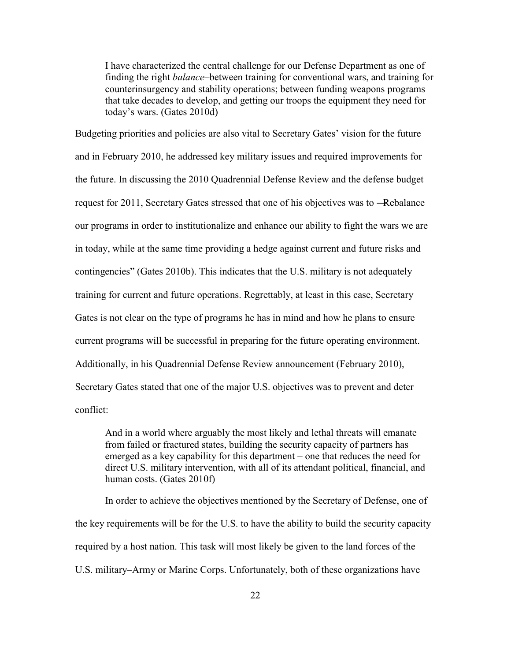I have characterized the central challenge for our Defense Department as one of finding the right *balance*–between training for conventional wars, and training for counterinsurgency and stability operations; between funding weapons programs that take decades to develop, and getting our troops the equipment they need for today's wars. (Gates 2010d)

Budgeting priorities and policies are also vital to Secretary Gates' vision for the future and in February 2010, he addressed key military issues and required improvements for the future. In discussing the 2010 Quadrennial Defense Review and the defense budget request for 2011, Secretary Gates stressed that one of his objectives was to ―Rebalance our programs in order to institutionalize and enhance our ability to fight the wars we are in today, while at the same time providing a hedge against current and future risks and contingencies" (Gates 2010b). This indicates that the U.S. military is not adequately training for current and future operations. Regrettably, at least in this case, Secretary Gates is not clear on the type of programs he has in mind and how he plans to ensure current programs will be successful in preparing for the future operating environment. Additionally, in his Quadrennial Defense Review announcement (February 2010), Secretary Gates stated that one of the major U.S. objectives was to prevent and deter conflict:

And in a world where arguably the most likely and lethal threats will emanate from failed or fractured states, building the security capacity of partners has emerged as a key capability for this department – one that reduces the need for direct U.S. military intervention, with all of its attendant political, financial, and human costs. (Gates 2010f)

In order to achieve the objectives mentioned by the Secretary of Defense, one of the key requirements will be for the U.S. to have the ability to build the security capacity required by a host nation. This task will most likely be given to the land forces of the U.S. military–Army or Marine Corps. Unfortunately, both of these organizations have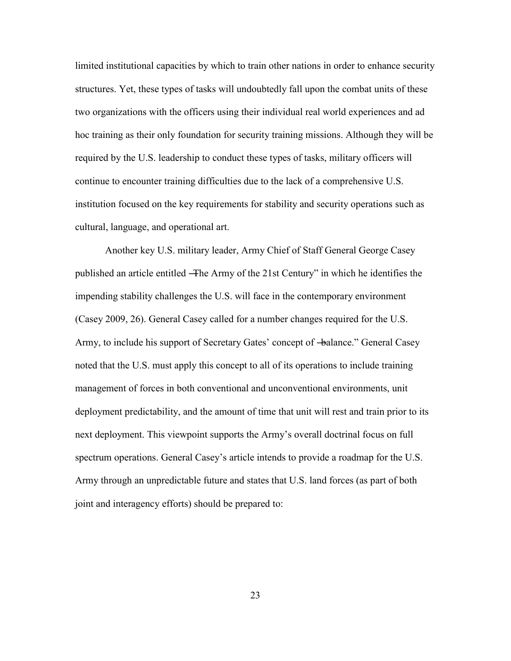limited institutional capacities by which to train other nations in order to enhance security structures. Yet, these types of tasks will undoubtedly fall upon the combat units of these two organizations with the officers using their individual real world experiences and ad hoc training as their only foundation for security training missions. Although they will be required by the U.S. leadership to conduct these types of tasks, military officers will continue to encounter training difficulties due to the lack of a comprehensive U.S. institution focused on the key requirements for stability and security operations such as cultural, language, and operational art.

Another key U.S. military leader, Army Chief of Staff General George Casey published an article entitled —The Army of the 21st Century" in which he identifies the impending stability challenges the U.S. will face in the contemporary environment (Casey 2009, 26). General Casey called for a number changes required for the U.S. Army, to include his support of Secretary Gates' concept of  $-\theta$ alance." General Casey noted that the U.S. must apply this concept to all of its operations to include training management of forces in both conventional and unconventional environments, unit deployment predictability, and the amount of time that unit will rest and train prior to its next deployment. This viewpoint supports the Army's overall doctrinal focus on full spectrum operations. General Casey's article intends to provide a roadmap for the U.S. Army through an unpredictable future and states that U.S. land forces (as part of both joint and interagency efforts) should be prepared to: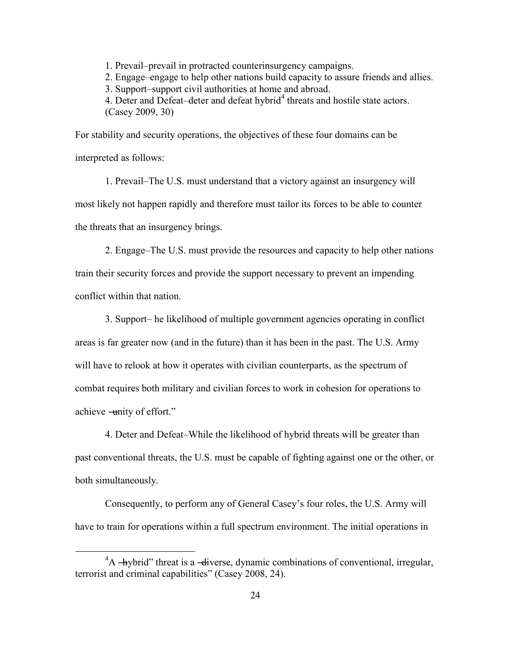1. Prevail–prevail in protracted counterinsurgency campaigns.

2. Engage–engage to help other nations build capacity to assure friends and allies.

3. Support–support civil authorities at home and abroad.

4. Deter and Defeat-deter and defeat hybrid<sup>4</sup> threats and hostile state actors. (Casey 2009, 30)

For stability and security operations, the objectives of these four domains can be interpreted as follows:

1. Prevail–The U.S. must understand that a victory against an insurgency will most likely not happen rapidly and therefore must tailor its forces to be able to counter the threats that an insurgency brings.

2. Engage–The U.S. must provide the resources and capacity to help other nations train their security forces and provide the support necessary to prevent an impending conflict within that nation.

3. Support– he likelihood of multiple government agencies operating in conflict areas is far greater now (and in the future) than it has been in the past. The U.S. Army will have to relook at how it operates with civilian counterparts, as the spectrum of combat requires both military and civilian forces to work in cohesion for operations to achieve —unity of effort."

4. Deter and Defeat–While the likelihood of hybrid threats will be greater than past conventional threats, the U.S. must be capable of fighting against one or the other, or both simultaneously.

Consequently, to perform any of General Casey's four roles, the U.S. Army will have to train for operations within a full spectrum environment. The initial operations in

 $\overline{a}$ 

 ${}^{4}A$  -hybrid" threat is a -diverse, dynamic combinations of conventional, irregular, terrorist and criminal capabilities" (Casey 2008, 24).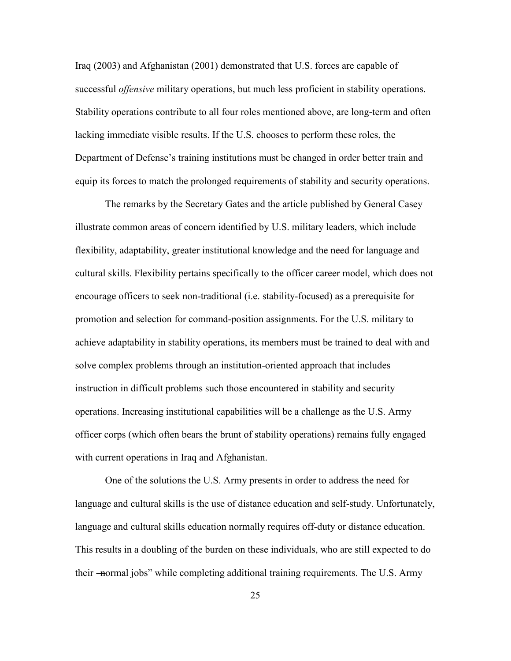Iraq (2003) and Afghanistan (2001) demonstrated that U.S. forces are capable of successful *offensive* military operations, but much less proficient in stability operations. Stability operations contribute to all four roles mentioned above, are long-term and often lacking immediate visible results. If the U.S. chooses to perform these roles, the Department of Defense's training institutions must be changed in order better train and equip its forces to match the prolonged requirements of stability and security operations.

The remarks by the Secretary Gates and the article published by General Casey illustrate common areas of concern identified by U.S. military leaders, which include flexibility, adaptability, greater institutional knowledge and the need for language and cultural skills. Flexibility pertains specifically to the officer career model, which does not encourage officers to seek non-traditional (i.e. stability-focused) as a prerequisite for promotion and selection for command-position assignments. For the U.S. military to achieve adaptability in stability operations, its members must be trained to deal with and solve complex problems through an institution-oriented approach that includes instruction in difficult problems such those encountered in stability and security operations. Increasing institutional capabilities will be a challenge as the U.S. Army officer corps (which often bears the brunt of stability operations) remains fully engaged with current operations in Iraq and Afghanistan.

One of the solutions the U.S. Army presents in order to address the need for language and cultural skills is the use of distance education and self-study. Unfortunately, language and cultural skills education normally requires off-duty or distance education. This results in a doubling of the burden on these individuals, who are still expected to do their —normal jobs" while completing additional training requirements. The U.S. Army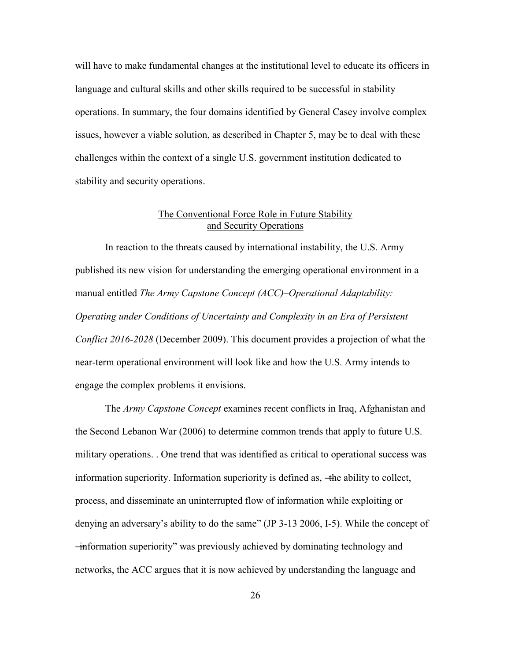will have to make fundamental changes at the institutional level to educate its officers in language and cultural skills and other skills required to be successful in stability operations. In summary, the four domains identified by General Casey involve complex issues, however a viable solution, as described in Chapter 5, may be to deal with these challenges within the context of a single U.S. government institution dedicated to stability and security operations.

# The Conventional Force Role in Future Stability and Security Operations

In reaction to the threats caused by international instability, the U.S. Army published its new vision for understanding the emerging operational environment in a manual entitled *The Army Capstone Concept (ACC)–Operational Adaptability: Operating under Conditions of Uncertainty and Complexity in an Era of Persistent Conflict 2016-2028* (December 2009). This document provides a projection of what the near-term operational environment will look like and how the U.S. Army intends to engage the complex problems it envisions.

The *Army Capstone Concept* examines recent conflicts in Iraq, Afghanistan and the Second Lebanon War (2006) to determine common trends that apply to future U.S. military operations. . One trend that was identified as critical to operational success was information superiority. Information superiority is defined as, —the ability to collect, process, and disseminate an uninterrupted flow of information while exploiting or denying an adversary's ability to do the same" (JP 3-13 2006, I-5). While the concept of ―information superiority‖ was previously achieved by dominating technology and networks, the ACC argues that it is now achieved by understanding the language and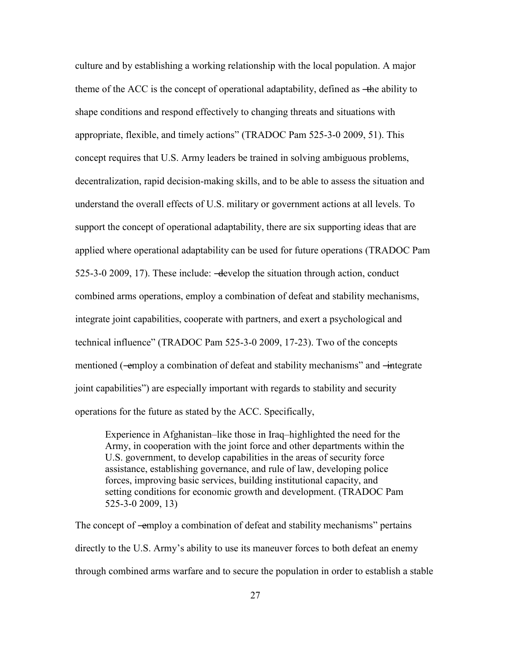culture and by establishing a working relationship with the local population. A major theme of the ACC is the concept of operational adaptability, defined as —the ability to shape conditions and respond effectively to changing threats and situations with appropriate, flexible, and timely actions" (TRADOC Pam 525-3-0 2009, 51). This concept requires that U.S. Army leaders be trained in solving ambiguous problems, decentralization, rapid decision-making skills, and to be able to assess the situation and understand the overall effects of U.S. military or government actions at all levels. To support the concept of operational adaptability, there are six supporting ideas that are applied where operational adaptability can be used for future operations (TRADOC Pam 525-3-0 2009, 17). These include: ―develop the situation through action, conduct combined arms operations, employ a combination of defeat and stability mechanisms, integrate joint capabilities, cooperate with partners, and exert a psychological and technical influence" (TRADOC Pam 525-3-0 2009, 17-23). Two of the concepts mentioned (—employ a combination of defeat and stability mechanisms" and —integrate joint capabilities") are especially important with regards to stability and security operations for the future as stated by the ACC. Specifically,

Experience in Afghanistan–like those in Iraq–highlighted the need for the Army, in cooperation with the joint force and other departments within the U.S. government, to develop capabilities in the areas of security force assistance, establishing governance, and rule of law, developing police forces, improving basic services, building institutional capacity, and setting conditions for economic growth and development. (TRADOC Pam 525-3-0 2009, 13)

The concept of —employ a combination of defeat and stability mechanisms" pertains directly to the U.S. Army's ability to use its maneuver forces to both defeat an enemy through combined arms warfare and to secure the population in order to establish a stable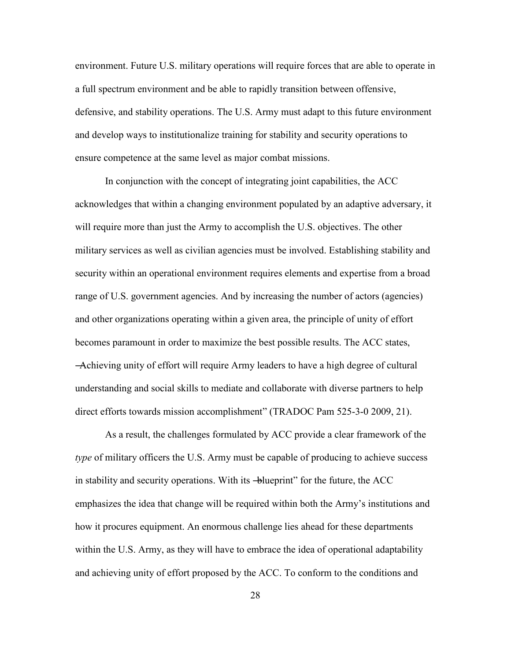environment. Future U.S. military operations will require forces that are able to operate in a full spectrum environment and be able to rapidly transition between offensive, defensive, and stability operations. The U.S. Army must adapt to this future environment and develop ways to institutionalize training for stability and security operations to ensure competence at the same level as major combat missions.

In conjunction with the concept of integrating joint capabilities, the ACC acknowledges that within a changing environment populated by an adaptive adversary, it will require more than just the Army to accomplish the U.S. objectives. The other military services as well as civilian agencies must be involved. Establishing stability and security within an operational environment requires elements and expertise from a broad range of U.S. government agencies. And by increasing the number of actors (agencies) and other organizations operating within a given area, the principle of unity of effort becomes paramount in order to maximize the best possible results. The ACC states, ―Achieving unity of effort will require Army leaders to have a high degree of cultural understanding and social skills to mediate and collaborate with diverse partners to help direct efforts towards mission accomplishment" (TRADOC Pam 525-3-0 2009, 21).

As a result, the challenges formulated by ACC provide a clear framework of the *type* of military officers the U.S. Army must be capable of producing to achieve success in stability and security operations. With its -blueprint" for the future, the ACC emphasizes the idea that change will be required within both the Army's institutions and how it procures equipment. An enormous challenge lies ahead for these departments within the U.S. Army, as they will have to embrace the idea of operational adaptability and achieving unity of effort proposed by the ACC. To conform to the conditions and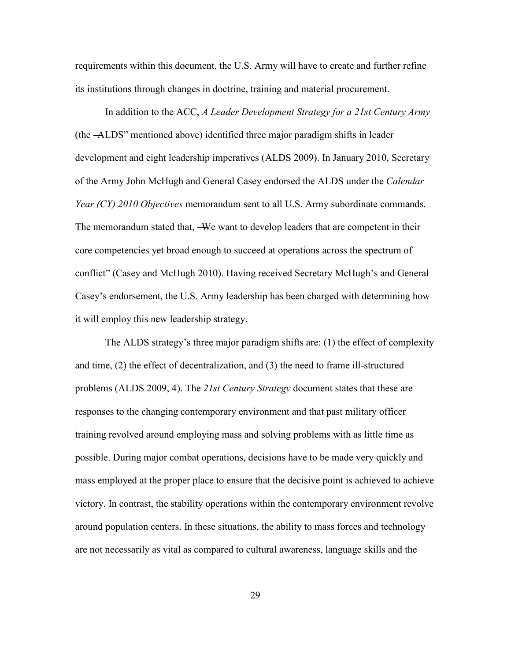requirements within this document, the U.S. Army will have to create and further refine its institutions through changes in doctrine, training and material procurement.

In addition to the ACC, *A Leader Development Strategy for a 21st Century Army* (the ―ALDS‖ mentioned above) identified three major paradigm shifts in leader development and eight leadership imperatives (ALDS 2009). In January 2010, Secretary of the Army John McHugh and General Casey endorsed the ALDS under the *Calendar Year (CY) 2010 Objectives* memorandum sent to all U.S. Army subordinate commands. The memorandum stated that, —We want to develop leaders that are competent in their core competencies yet broad enough to succeed at operations across the spectrum of conflict" (Casey and McHugh 2010). Having received Secretary McHugh's and General Casey's endorsement, the U.S. Army leadership has been charged with determining how it will employ this new leadership strategy.

The ALDS strategy's three major paradigm shifts are: (1) the effect of complexity and time, (2) the effect of decentralization, and (3) the need to frame ill-structured problems (ALDS 2009, 4). The *21st Century Strategy* document states that these are responses to the changing contemporary environment and that past military officer training revolved around employing mass and solving problems with as little time as possible. During major combat operations, decisions have to be made very quickly and mass employed at the proper place to ensure that the decisive point is achieved to achieve victory. In contrast, the stability operations within the contemporary environment revolve around population centers. In these situations, the ability to mass forces and technology are not necessarily as vital as compared to cultural awareness, language skills and the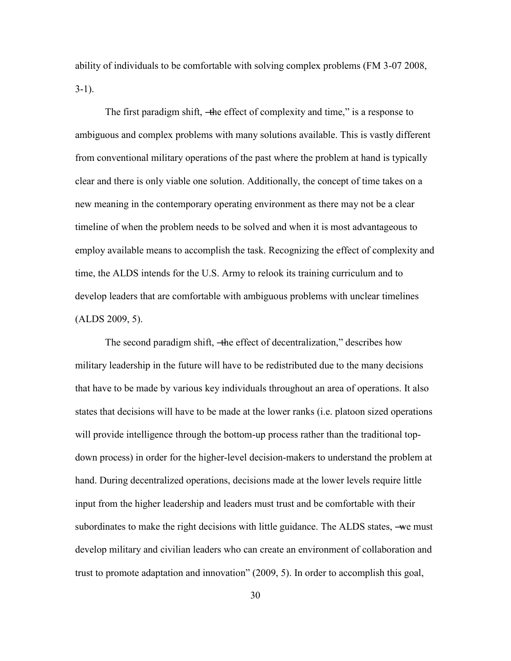ability of individuals to be comfortable with solving complex problems (FM 3-07 2008,  $3-1$ ).

The first paradigm shift, —the effect of complexity and time," is a response to ambiguous and complex problems with many solutions available. This is vastly different from conventional military operations of the past where the problem at hand is typically clear and there is only viable one solution. Additionally, the concept of time takes on a new meaning in the contemporary operating environment as there may not be a clear timeline of when the problem needs to be solved and when it is most advantageous to employ available means to accomplish the task. Recognizing the effect of complexity and time, the ALDS intends for the U.S. Army to relook its training curriculum and to develop leaders that are comfortable with ambiguous problems with unclear timelines (ALDS 2009, 5).

The second paradigm shift, —the effect of decentralization," describes how military leadership in the future will have to be redistributed due to the many decisions that have to be made by various key individuals throughout an area of operations. It also states that decisions will have to be made at the lower ranks (i.e. platoon sized operations will provide intelligence through the bottom-up process rather than the traditional topdown process) in order for the higher-level decision-makers to understand the problem at hand. During decentralized operations, decisions made at the lower levels require little input from the higher leadership and leaders must trust and be comfortable with their subordinates to make the right decisions with little guidance. The ALDS states, —we must develop military and civilian leaders who can create an environment of collaboration and trust to promote adaptation and innovation" (2009, 5). In order to accomplish this goal,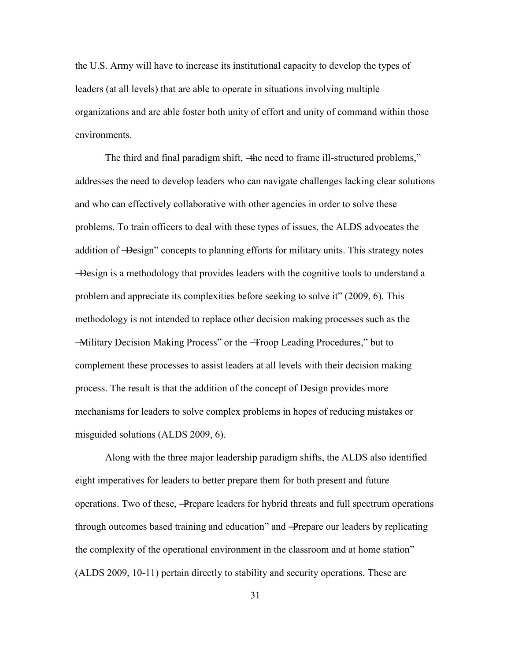the U.S. Army will have to increase its institutional capacity to develop the types of leaders (at all levels) that are able to operate in situations involving multiple organizations and are able foster both unity of effort and unity of command within those environments.

The third and final paradigm shift, —the need to frame ill-structured problems," addresses the need to develop leaders who can navigate challenges lacking clear solutions and who can effectively collaborative with other agencies in order to solve these problems. To train officers to deal with these types of issues, the ALDS advocates the addition of —Design" concepts to planning efforts for military units. This strategy notes ―Design is a methodology that provides leaders with the cognitive tools to understand a problem and appreciate its complexities before seeking to solve it" (2009, 6). This methodology is not intended to replace other decision making processes such as the —Military Decision Making Process" or the —Troop Leading Procedures," but to complement these processes to assist leaders at all levels with their decision making process. The result is that the addition of the concept of Design provides more mechanisms for leaders to solve complex problems in hopes of reducing mistakes or misguided solutions (ALDS 2009, 6).

Along with the three major leadership paradigm shifts, the ALDS also identified eight imperatives for leaders to better prepare them for both present and future operations. Two of these, ―Prepare leaders for hybrid threats and full spectrum operations through outcomes based training and education" and —Prepare our leaders by replicating the complexity of the operational environment in the classroom and at home station" (ALDS 2009, 10-11) pertain directly to stability and security operations. These are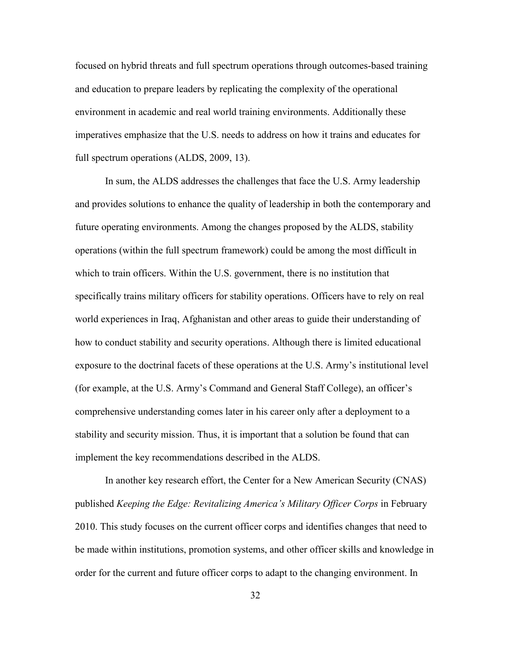focused on hybrid threats and full spectrum operations through outcomes-based training and education to prepare leaders by replicating the complexity of the operational environment in academic and real world training environments. Additionally these imperatives emphasize that the U.S. needs to address on how it trains and educates for full spectrum operations (ALDS, 2009, 13).

In sum, the ALDS addresses the challenges that face the U.S. Army leadership and provides solutions to enhance the quality of leadership in both the contemporary and future operating environments. Among the changes proposed by the ALDS, stability operations (within the full spectrum framework) could be among the most difficult in which to train officers. Within the U.S. government, there is no institution that specifically trains military officers for stability operations. Officers have to rely on real world experiences in Iraq, Afghanistan and other areas to guide their understanding of how to conduct stability and security operations. Although there is limited educational exposure to the doctrinal facets of these operations at the U.S. Army's institutional level (for example, at the U.S. Army's Command and General Staff College), an officer's comprehensive understanding comes later in his career only after a deployment to a stability and security mission. Thus, it is important that a solution be found that can implement the key recommendations described in the ALDS.

In another key research effort, the Center for a New American Security (CNAS) published *Keeping the Edge: Revitalizing America's Military Officer Corps* in February 2010. This study focuses on the current officer corps and identifies changes that need to be made within institutions, promotion systems, and other officer skills and knowledge in order for the current and future officer corps to adapt to the changing environment. In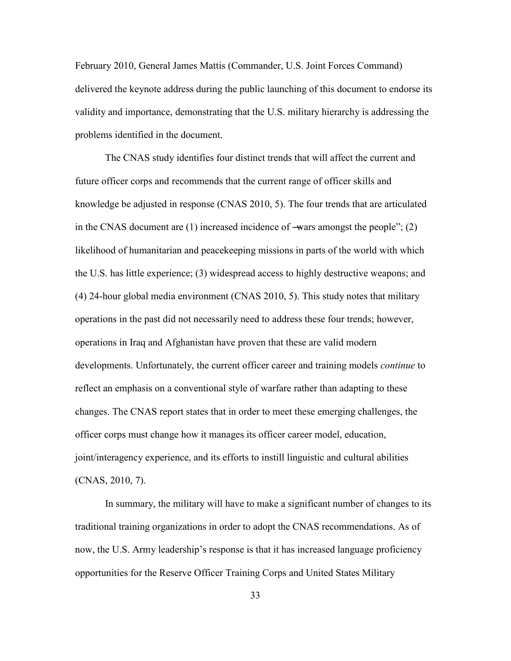February 2010, General James Mattis (Commander, U.S. Joint Forces Command) delivered the keynote address during the public launching of this document to endorse its validity and importance, demonstrating that the U.S. military hierarchy is addressing the problems identified in the document.

The CNAS study identifies four distinct trends that will affect the current and future officer corps and recommends that the current range of officer skills and knowledge be adjusted in response (CNAS 2010, 5). The four trends that are articulated in the CNAS document are  $(1)$  increased incidence of —wars amongst the people";  $(2)$ likelihood of humanitarian and peacekeeping missions in parts of the world with which the U.S. has little experience; (3) widespread access to highly destructive weapons; and (4) 24-hour global media environment (CNAS 2010, 5). This study notes that military operations in the past did not necessarily need to address these four trends; however, operations in Iraq and Afghanistan have proven that these are valid modern developments. Unfortunately, the current officer career and training models *continue* to reflect an emphasis on a conventional style of warfare rather than adapting to these changes. The CNAS report states that in order to meet these emerging challenges, the officer corps must change how it manages its officer career model, education, joint/interagency experience, and its efforts to instill linguistic and cultural abilities (CNAS, 2010, 7).

In summary, the military will have to make a significant number of changes to its traditional training organizations in order to adopt the CNAS recommendations. As of now, the U.S. Army leadership's response is that it has increased language proficiency opportunities for the Reserve Officer Training Corps and United States Military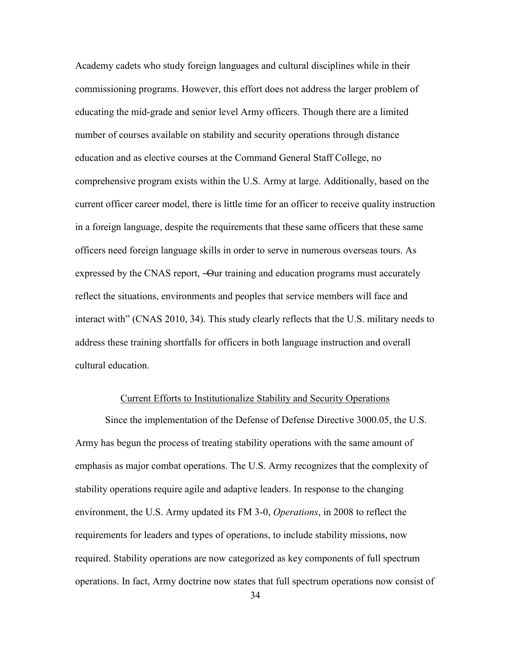Academy cadets who study foreign languages and cultural disciplines while in their commissioning programs. However, this effort does not address the larger problem of educating the mid-grade and senior level Army officers. Though there are a limited number of courses available on stability and security operations through distance education and as elective courses at the Command General Staff College, no comprehensive program exists within the U.S. Army at large. Additionally, based on the current officer career model, there is little time for an officer to receive quality instruction in a foreign language, despite the requirements that these same officers that these same officers need foreign language skills in order to serve in numerous overseas tours. As expressed by the CNAS report, —Our training and education programs must accurately reflect the situations, environments and peoples that service members will face and interact with" (CNAS 2010, 34). This study clearly reflects that the U.S. military needs to address these training shortfalls for officers in both language instruction and overall cultural education.

#### Current Efforts to Institutionalize Stability and Security Operations

Since the implementation of the Defense of Defense Directive 3000.05, the U.S. Army has begun the process of treating stability operations with the same amount of emphasis as major combat operations. The U.S. Army recognizes that the complexity of stability operations require agile and adaptive leaders. In response to the changing environment, the U.S. Army updated its FM 3-0, *Operations*, in 2008 to reflect the requirements for leaders and types of operations, to include stability missions, now required. Stability operations are now categorized as key components of full spectrum operations. In fact, Army doctrine now states that full spectrum operations now consist of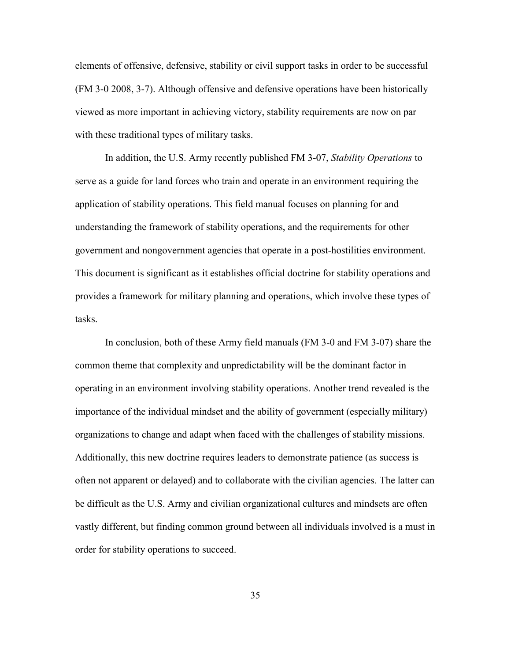elements of offensive, defensive, stability or civil support tasks in order to be successful (FM 3-0 2008, 3-7). Although offensive and defensive operations have been historically viewed as more important in achieving victory, stability requirements are now on par with these traditional types of military tasks.

In addition, the U.S. Army recently published FM 3-07, *Stability Operations* to serve as a guide for land forces who train and operate in an environment requiring the application of stability operations. This field manual focuses on planning for and understanding the framework of stability operations, and the requirements for other government and nongovernment agencies that operate in a post-hostilities environment. This document is significant as it establishes official doctrine for stability operations and provides a framework for military planning and operations, which involve these types of tasks.

In conclusion, both of these Army field manuals (FM 3-0 and FM 3-07) share the common theme that complexity and unpredictability will be the dominant factor in operating in an environment involving stability operations. Another trend revealed is the importance of the individual mindset and the ability of government (especially military) organizations to change and adapt when faced with the challenges of stability missions. Additionally, this new doctrine requires leaders to demonstrate patience (as success is often not apparent or delayed) and to collaborate with the civilian agencies. The latter can be difficult as the U.S. Army and civilian organizational cultures and mindsets are often vastly different, but finding common ground between all individuals involved is a must in order for stability operations to succeed.

35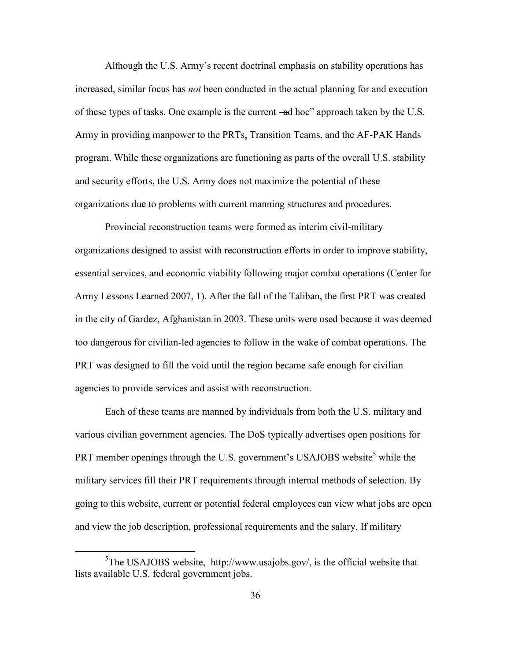Although the U.S. Army's recent doctrinal emphasis on stability operations has increased, similar focus has *not* been conducted in the actual planning for and execution of these types of tasks. One example is the current –ed hoc" approach taken by the U.S. Army in providing manpower to the PRTs, Transition Teams, and the AF-PAK Hands program. While these organizations are functioning as parts of the overall U.S. stability and security efforts, the U.S. Army does not maximize the potential of these organizations due to problems with current manning structures and procedures.

Provincial reconstruction teams were formed as interim civil-military organizations designed to assist with reconstruction efforts in order to improve stability, essential services, and economic viability following major combat operations (Center for Army Lessons Learned 2007, 1). After the fall of the Taliban, the first PRT was created in the city of Gardez, Afghanistan in 2003. These units were used because it was deemed too dangerous for civilian-led agencies to follow in the wake of combat operations. The PRT was designed to fill the void until the region became safe enough for civilian agencies to provide services and assist with reconstruction.

Each of these teams are manned by individuals from both the U.S. military and various civilian government agencies. The DoS typically advertises open positions for PRT member openings through the U.S. government's USAJOBS website<sup>5</sup> while the military services fill their PRT requirements through internal methods of selection. By going to this website, current or potential federal employees can view what jobs are open and view the job description, professional requirements and the salary. If military

 $\overline{a}$ 

 $5$ The USAJOBS website, http://www.usajobs.gov/, is the official website that lists available U.S. federal government jobs.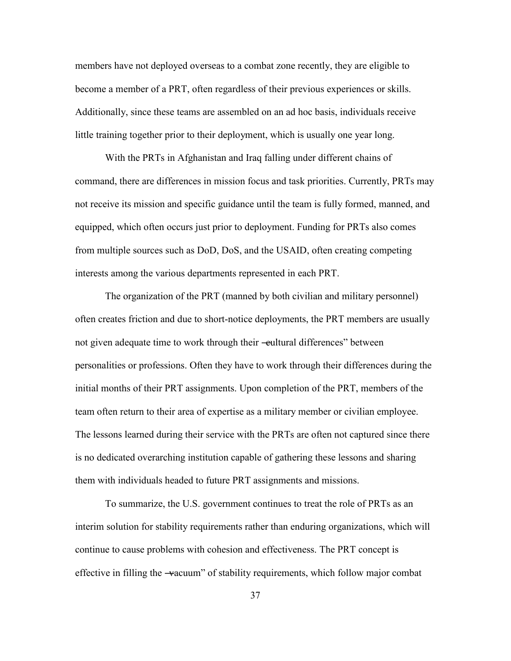members have not deployed overseas to a combat zone recently, they are eligible to become a member of a PRT, often regardless of their previous experiences or skills. Additionally, since these teams are assembled on an ad hoc basis, individuals receive little training together prior to their deployment, which is usually one year long.

With the PRTs in Afghanistan and Iraq falling under different chains of command, there are differences in mission focus and task priorities. Currently, PRTs may not receive its mission and specific guidance until the team is fully formed, manned, and equipped, which often occurs just prior to deployment. Funding for PRTs also comes from multiple sources such as DoD, DoS, and the USAID, often creating competing interests among the various departments represented in each PRT.

The organization of the PRT (manned by both civilian and military personnel) often creates friction and due to short-notice deployments, the PRT members are usually not given adequate time to work through their —eultural differences" between personalities or professions. Often they have to work through their differences during the initial months of their PRT assignments. Upon completion of the PRT, members of the team often return to their area of expertise as a military member or civilian employee. The lessons learned during their service with the PRTs are often not captured since there is no dedicated overarching institution capable of gathering these lessons and sharing them with individuals headed to future PRT assignments and missions.

To summarize, the U.S. government continues to treat the role of PRTs as an interim solution for stability requirements rather than enduring organizations, which will continue to cause problems with cohesion and effectiveness. The PRT concept is effective in filling the —vacuum" of stability requirements, which follow major combat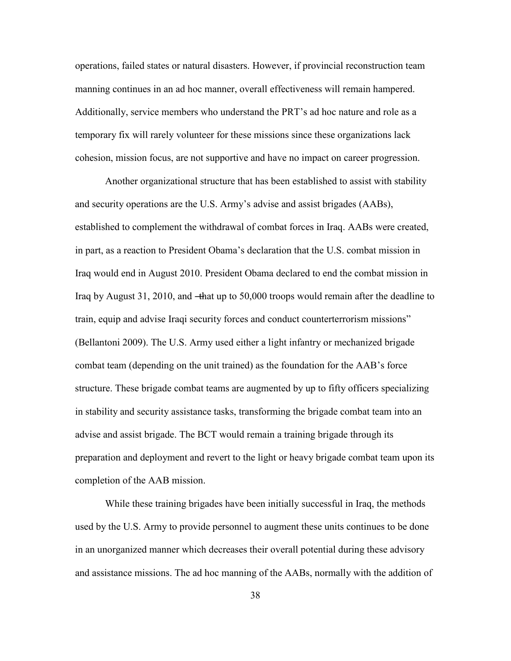operations, failed states or natural disasters. However, if provincial reconstruction team manning continues in an ad hoc manner, overall effectiveness will remain hampered. Additionally, service members who understand the PRT's ad hoc nature and role as a temporary fix will rarely volunteer for these missions since these organizations lack cohesion, mission focus, are not supportive and have no impact on career progression.

Another organizational structure that has been established to assist with stability and security operations are the U.S. Army's advise and assist brigades (AABs), established to complement the withdrawal of combat forces in Iraq. AABs were created, in part, as a reaction to President Obama's declaration that the U.S. combat mission in Iraq would end in August 2010. President Obama declared to end the combat mission in Iraq by August 31, 2010, and —that up to 50,000 troops would remain after the deadline to train, equip and advise Iraqi security forces and conduct counterterrorism missions" (Bellantoni 2009). The U.S. Army used either a light infantry or mechanized brigade combat team (depending on the unit trained) as the foundation for the AAB's force structure. These brigade combat teams are augmented by up to fifty officers specializing in stability and security assistance tasks, transforming the brigade combat team into an advise and assist brigade. The BCT would remain a training brigade through its preparation and deployment and revert to the light or heavy brigade combat team upon its completion of the AAB mission.

While these training brigades have been initially successful in Iraq, the methods used by the U.S. Army to provide personnel to augment these units continues to be done in an unorganized manner which decreases their overall potential during these advisory and assistance missions. The ad hoc manning of the AABs, normally with the addition of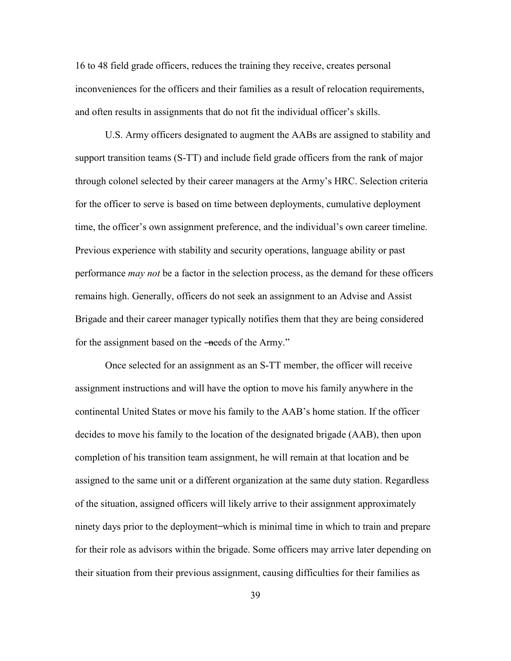16 to 48 field grade officers, reduces the training they receive, creates personal inconveniences for the officers and their families as a result of relocation requirements, and often results in assignments that do not fit the individual officer's skills.

U.S. Army officers designated to augment the AABs are assigned to stability and support transition teams (S-TT) and include field grade officers from the rank of major through colonel selected by their career managers at the Army's HRC. Selection criteria for the officer to serve is based on time between deployments, cumulative deployment time, the officer's own assignment preference, and the individual's own career timeline. Previous experience with stability and security operations, language ability or past performance *may not* be a factor in the selection process, as the demand for these officers remains high. Generally, officers do not seek an assignment to an Advise and Assist Brigade and their career manager typically notifies them that they are being considered for the assignment based on the —needs of the Army."

Once selected for an assignment as an S-TT member, the officer will receive assignment instructions and will have the option to move his family anywhere in the continental United States or move his family to the AAB's home station. If the officer decides to move his family to the location of the designated brigade (AAB), then upon completion of his transition team assignment, he will remain at that location and be assigned to the same unit or a different organization at the same duty station. Regardless of the situation, assigned officers will likely arrive to their assignment approximately ninety days prior to the deployment ̶ which is minimal time in which to train and prepare for their role as advisors within the brigade. Some officers may arrive later depending on their situation from their previous assignment, causing difficulties for their families as

39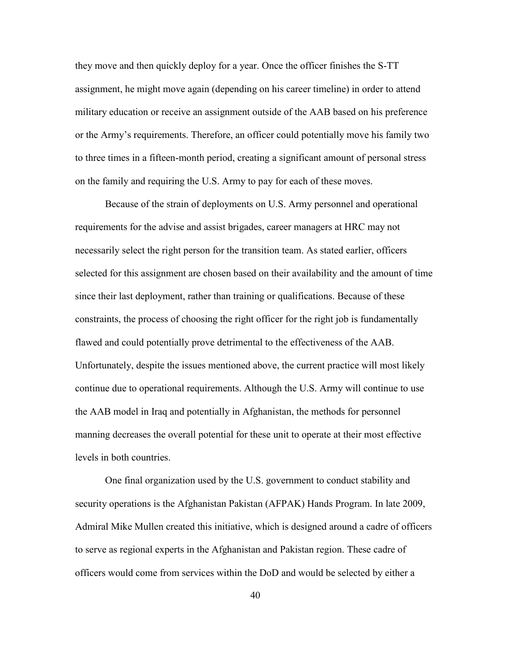they move and then quickly deploy for a year. Once the officer finishes the S-TT assignment, he might move again (depending on his career timeline) in order to attend military education or receive an assignment outside of the AAB based on his preference or the Army's requirements. Therefore, an officer could potentially move his family two to three times in a fifteen-month period, creating a significant amount of personal stress on the family and requiring the U.S. Army to pay for each of these moves.

Because of the strain of deployments on U.S. Army personnel and operational requirements for the advise and assist brigades, career managers at HRC may not necessarily select the right person for the transition team. As stated earlier, officers selected for this assignment are chosen based on their availability and the amount of time since their last deployment, rather than training or qualifications. Because of these constraints, the process of choosing the right officer for the right job is fundamentally flawed and could potentially prove detrimental to the effectiveness of the AAB. Unfortunately, despite the issues mentioned above, the current practice will most likely continue due to operational requirements. Although the U.S. Army will continue to use the AAB model in Iraq and potentially in Afghanistan, the methods for personnel manning decreases the overall potential for these unit to operate at their most effective levels in both countries.

One final organization used by the U.S. government to conduct stability and security operations is the Afghanistan Pakistan (AFPAK) Hands Program. In late 2009, Admiral Mike Mullen created this initiative, which is designed around a cadre of officers to serve as regional experts in the Afghanistan and Pakistan region. These cadre of officers would come from services within the DoD and would be selected by either a

40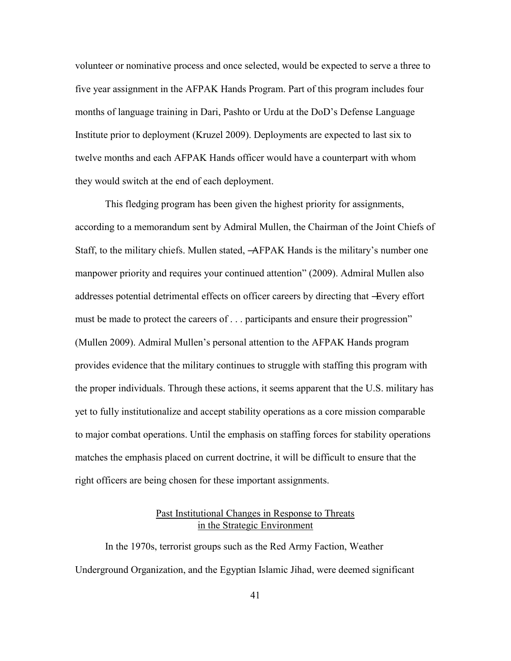volunteer or nominative process and once selected, would be expected to serve a three to five year assignment in the AFPAK Hands Program. Part of this program includes four months of language training in Dari, Pashto or Urdu at the DoD's Defense Language Institute prior to deployment (Kruzel 2009). Deployments are expected to last six to twelve months and each AFPAK Hands officer would have a counterpart with whom they would switch at the end of each deployment.

This fledging program has been given the highest priority for assignments, according to a memorandum sent by Admiral Mullen, the Chairman of the Joint Chiefs of Staff, to the military chiefs. Mullen stated, ―AFPAK Hands is the military's number one manpower priority and requires your continued attention" (2009). Admiral Mullen also addresses potential detrimental effects on officer careers by directing that ―Every effort must be made to protect the careers of . . . participants and ensure their progression" (Mullen 2009). Admiral Mullen's personal attention to the AFPAK Hands program provides evidence that the military continues to struggle with staffing this program with the proper individuals. Through these actions, it seems apparent that the U.S. military has yet to fully institutionalize and accept stability operations as a core mission comparable to major combat operations. Until the emphasis on staffing forces for stability operations matches the emphasis placed on current doctrine, it will be difficult to ensure that the right officers are being chosen for these important assignments.

## Past Institutional Changes in Response to Threats in the Strategic Environment

In the 1970s, terrorist groups such as the Red Army Faction, Weather Underground Organization, and the Egyptian Islamic Jihad, were deemed significant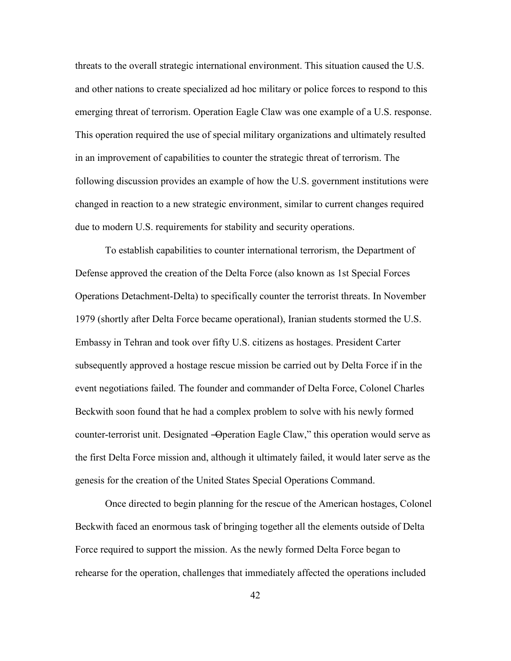threats to the overall strategic international environment. This situation caused the U.S. and other nations to create specialized ad hoc military or police forces to respond to this emerging threat of terrorism. Operation Eagle Claw was one example of a U.S. response. This operation required the use of special military organizations and ultimately resulted in an improvement of capabilities to counter the strategic threat of terrorism. The following discussion provides an example of how the U.S. government institutions were changed in reaction to a new strategic environment, similar to current changes required due to modern U.S. requirements for stability and security operations.

To establish capabilities to counter international terrorism, the Department of Defense approved the creation of the Delta Force (also known as 1st Special Forces Operations Detachment-Delta) to specifically counter the terrorist threats. In November 1979 (shortly after Delta Force became operational), Iranian students stormed the U.S. Embassy in Tehran and took over fifty U.S. citizens as hostages. President Carter subsequently approved a hostage rescue mission be carried out by Delta Force if in the event negotiations failed. The founder and commander of Delta Force, Colonel Charles Beckwith soon found that he had a complex problem to solve with his newly formed counter-terrorist unit. Designated —Operation Eagle Claw," this operation would serve as the first Delta Force mission and, although it ultimately failed, it would later serve as the genesis for the creation of the United States Special Operations Command.

Once directed to begin planning for the rescue of the American hostages, Colonel Beckwith faced an enormous task of bringing together all the elements outside of Delta Force required to support the mission. As the newly formed Delta Force began to rehearse for the operation, challenges that immediately affected the operations included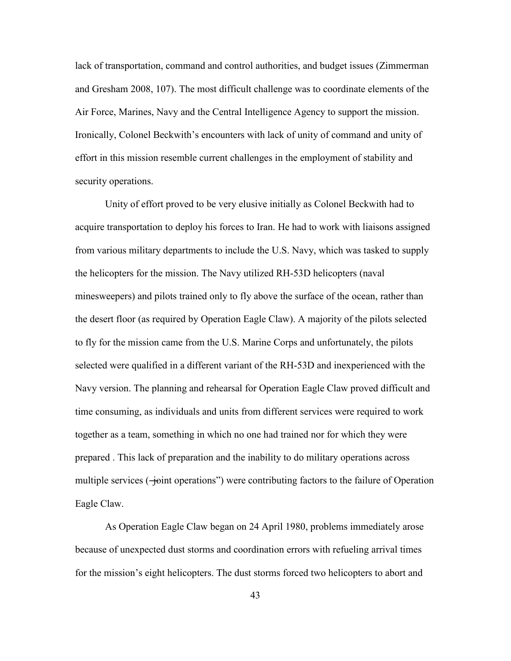lack of transportation, command and control authorities, and budget issues (Zimmerman and Gresham 2008, 107). The most difficult challenge was to coordinate elements of the Air Force, Marines, Navy and the Central Intelligence Agency to support the mission. Ironically, Colonel Beckwith's encounters with lack of unity of command and unity of effort in this mission resemble current challenges in the employment of stability and security operations.

Unity of effort proved to be very elusive initially as Colonel Beckwith had to acquire transportation to deploy his forces to Iran. He had to work with liaisons assigned from various military departments to include the U.S. Navy, which was tasked to supply the helicopters for the mission. The Navy utilized RH-53D helicopters (naval minesweepers) and pilots trained only to fly above the surface of the ocean, rather than the desert floor (as required by Operation Eagle Claw). A majority of the pilots selected to fly for the mission came from the U.S. Marine Corps and unfortunately, the pilots selected were qualified in a different variant of the RH-53D and inexperienced with the Navy version. The planning and rehearsal for Operation Eagle Claw proved difficult and time consuming, as individuals and units from different services were required to work together as a team, something in which no one had trained nor for which they were prepared . This lack of preparation and the inability to do military operations across multiple services  $(-$ ioint operations") were contributing factors to the failure of Operation Eagle Claw.

As Operation Eagle Claw began on 24 April 1980, problems immediately arose because of unexpected dust storms and coordination errors with refueling arrival times for the mission's eight helicopters. The dust storms forced two helicopters to abort and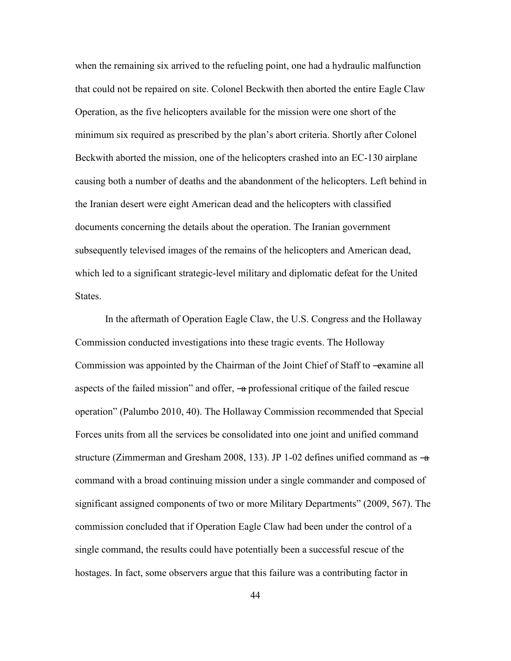when the remaining six arrived to the refueling point, one had a hydraulic malfunction that could not be repaired on site. Colonel Beckwith then aborted the entire Eagle Claw Operation, as the five helicopters available for the mission were one short of the minimum six required as prescribed by the plan's abort criteria. Shortly after Colonel Beckwith aborted the mission, one of the helicopters crashed into an EC-130 airplane causing both a number of deaths and the abandonment of the helicopters. Left behind in the Iranian desert were eight American dead and the helicopters with classified documents concerning the details about the operation. The Iranian government subsequently televised images of the remains of the helicopters and American dead, which led to a significant strategic-level military and diplomatic defeat for the United States.

In the aftermath of Operation Eagle Claw, the U.S. Congress and the Hollaway Commission conducted investigations into these tragic events. The Holloway Commission was appointed by the Chairman of the Joint Chief of Staff to —examine all aspects of the failed mission" and offer,  $\rightarrow$  professional critique of the failed rescue operation‖ (Palumbo 2010, 40). The Hollaway Commission recommended that Special Forces units from all the services be consolidated into one joint and unified command structure (Zimmerman and Gresham 2008, 133). JP 1-02 defines unified command as  $-a$ command with a broad continuing mission under a single commander and composed of significant assigned components of two or more Military Departments" (2009, 567). The commission concluded that if Operation Eagle Claw had been under the control of a single command, the results could have potentially been a successful rescue of the hostages. In fact, some observers argue that this failure was a contributing factor in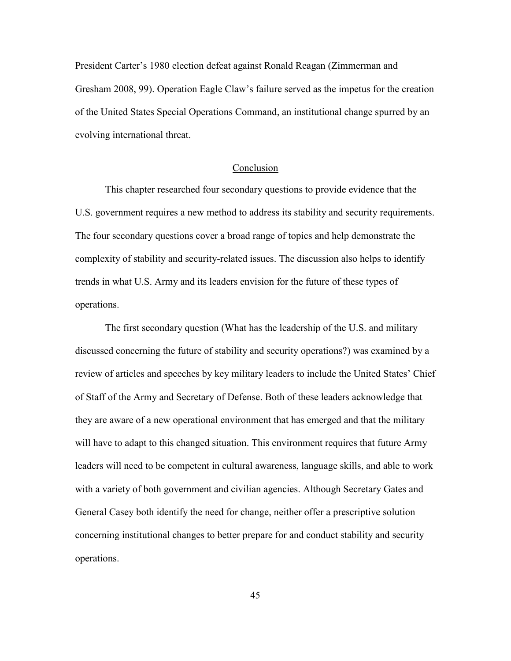President Carter's 1980 election defeat against Ronald Reagan (Zimmerman and Gresham 2008, 99). Operation Eagle Claw's failure served as the impetus for the creation of the United States Special Operations Command, an institutional change spurred by an evolving international threat.

### Conclusion

This chapter researched four secondary questions to provide evidence that the U.S. government requires a new method to address its stability and security requirements. The four secondary questions cover a broad range of topics and help demonstrate the complexity of stability and security-related issues. The discussion also helps to identify trends in what U.S. Army and its leaders envision for the future of these types of operations.

The first secondary question (What has the leadership of the U.S. and military discussed concerning the future of stability and security operations?) was examined by a review of articles and speeches by key military leaders to include the United States' Chief of Staff of the Army and Secretary of Defense. Both of these leaders acknowledge that they are aware of a new operational environment that has emerged and that the military will have to adapt to this changed situation. This environment requires that future Army leaders will need to be competent in cultural awareness, language skills, and able to work with a variety of both government and civilian agencies. Although Secretary Gates and General Casey both identify the need for change, neither offer a prescriptive solution concerning institutional changes to better prepare for and conduct stability and security operations.

45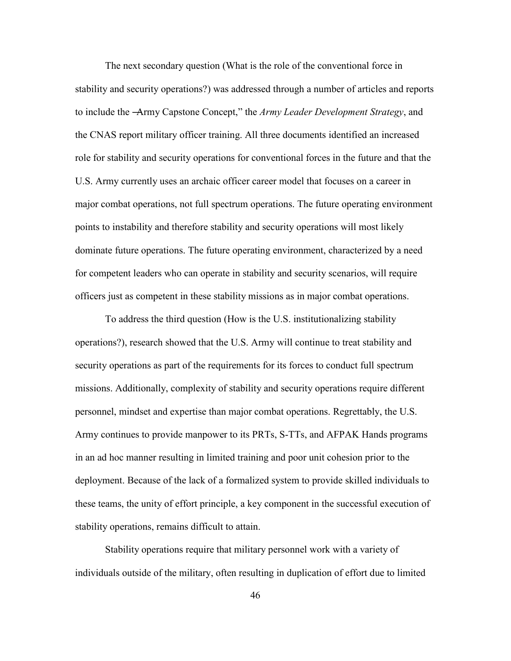The next secondary question (What is the role of the conventional force in stability and security operations?) was addressed through a number of articles and reports to include the -Army Capstone Concept," the *Army Leader Development Strategy*, and the CNAS report military officer training. All three documents identified an increased role for stability and security operations for conventional forces in the future and that the U.S. Army currently uses an archaic officer career model that focuses on a career in major combat operations, not full spectrum operations. The future operating environment points to instability and therefore stability and security operations will most likely dominate future operations. The future operating environment, characterized by a need for competent leaders who can operate in stability and security scenarios, will require officers just as competent in these stability missions as in major combat operations.

To address the third question (How is the U.S. institutionalizing stability operations?), research showed that the U.S. Army will continue to treat stability and security operations as part of the requirements for its forces to conduct full spectrum missions. Additionally, complexity of stability and security operations require different personnel, mindset and expertise than major combat operations. Regrettably, the U.S. Army continues to provide manpower to its PRTs, S-TTs, and AFPAK Hands programs in an ad hoc manner resulting in limited training and poor unit cohesion prior to the deployment. Because of the lack of a formalized system to provide skilled individuals to these teams, the unity of effort principle, a key component in the successful execution of stability operations, remains difficult to attain.

Stability operations require that military personnel work with a variety of individuals outside of the military, often resulting in duplication of effort due to limited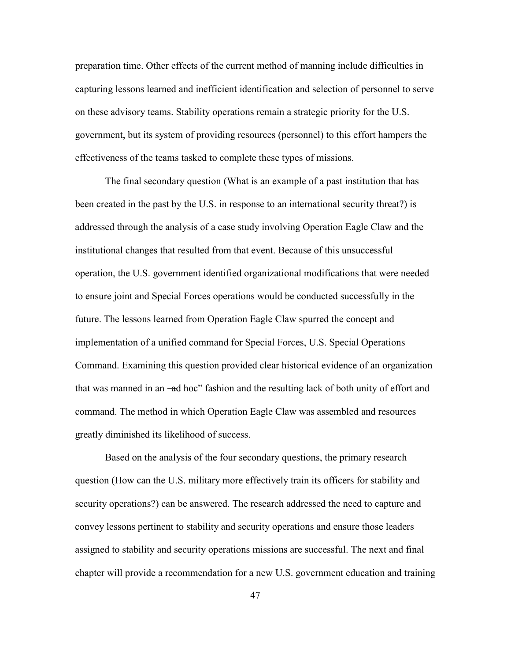preparation time. Other effects of the current method of manning include difficulties in capturing lessons learned and inefficient identification and selection of personnel to serve on these advisory teams. Stability operations remain a strategic priority for the U.S. government, but its system of providing resources (personnel) to this effort hampers the effectiveness of the teams tasked to complete these types of missions.

The final secondary question (What is an example of a past institution that has been created in the past by the U.S. in response to an international security threat?) is addressed through the analysis of a case study involving Operation Eagle Claw and the institutional changes that resulted from that event. Because of this unsuccessful operation, the U.S. government identified organizational modifications that were needed to ensure joint and Special Forces operations would be conducted successfully in the future. The lessons learned from Operation Eagle Claw spurred the concept and implementation of a unified command for Special Forces, U.S. Special Operations Command. Examining this question provided clear historical evidence of an organization that was manned in an –ad hoc" fashion and the resulting lack of both unity of effort and command. The method in which Operation Eagle Claw was assembled and resources greatly diminished its likelihood of success.

Based on the analysis of the four secondary questions, the primary research question (How can the U.S. military more effectively train its officers for stability and security operations?) can be answered. The research addressed the need to capture and convey lessons pertinent to stability and security operations and ensure those leaders assigned to stability and security operations missions are successful. The next and final chapter will provide a recommendation for a new U.S. government education and training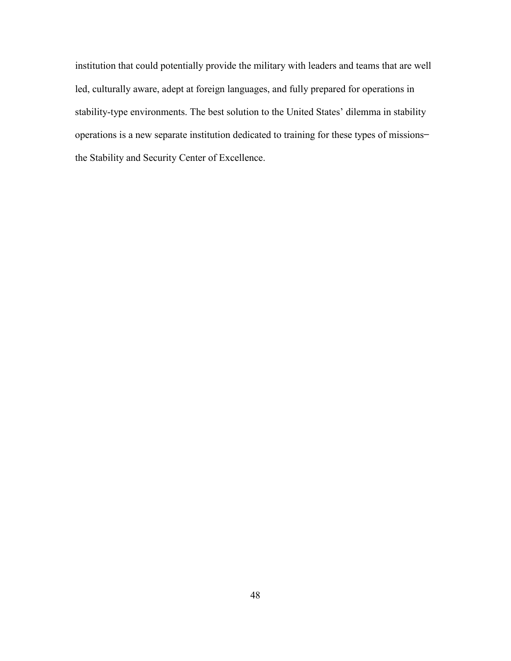institution that could potentially provide the military with leaders and teams that are well led, culturally aware, adept at foreign languages, and fully prepared for operations in stability-type environments. The best solution to the United States' dilemma in stability operations is a new separate institution dedicated to training for these types of missions ̶ the Stability and Security Center of Excellence.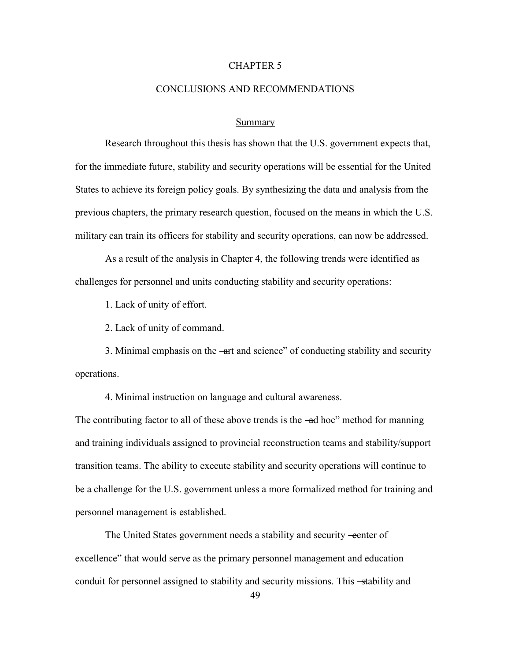### CHAPTER 5

#### CONCLUSIONS AND RECOMMENDATIONS

#### Summary

Research throughout this thesis has shown that the U.S. government expects that, for the immediate future, stability and security operations will be essential for the United States to achieve its foreign policy goals. By synthesizing the data and analysis from the previous chapters, the primary research question, focused on the means in which the U.S. military can train its officers for stability and security operations, can now be addressed.

As a result of the analysis in Chapter 4, the following trends were identified as challenges for personnel and units conducting stability and security operations:

1. Lack of unity of effort.

2. Lack of unity of command.

3. Minimal emphasis on the —art and science" of conducting stability and security operations.

4. Minimal instruction on language and cultural awareness.

The contributing factor to all of these above trends is the —ad hoc" method for manning and training individuals assigned to provincial reconstruction teams and stability/support transition teams. The ability to execute stability and security operations will continue to be a challenge for the U.S. government unless a more formalized method for training and personnel management is established.

The United States government needs a stability and security -eenter of excellence" that would serve as the primary personnel management and education conduit for personnel assigned to stability and security missions. This -stability and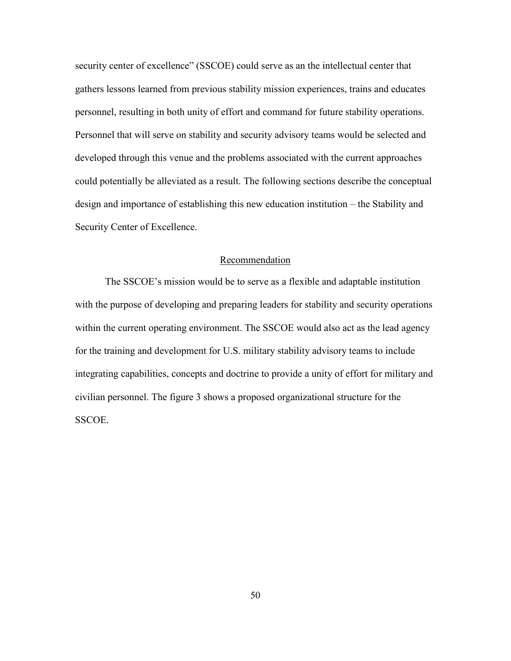security center of excellence" (SSCOE) could serve as an the intellectual center that gathers lessons learned from previous stability mission experiences, trains and educates personnel, resulting in both unity of effort and command for future stability operations. Personnel that will serve on stability and security advisory teams would be selected and developed through this venue and the problems associated with the current approaches could potentially be alleviated as a result. The following sections describe the conceptual design and importance of establishing this new education institution – the Stability and Security Center of Excellence.

#### Recommendation

The SSCOE's mission would be to serve as a flexible and adaptable institution with the purpose of developing and preparing leaders for stability and security operations within the current operating environment. The SSCOE would also act as the lead agency for the training and development for U.S. military stability advisory teams to include integrating capabilities, concepts and doctrine to provide a unity of effort for military and civilian personnel. The figure 3 shows a proposed organizational structure for the SSCOE.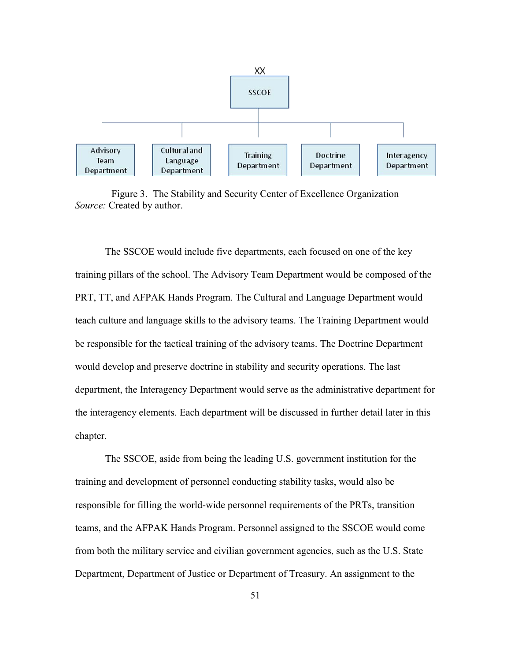

Figure 3. The Stability and Security Center of Excellence Organization *Source:* Created by author.

The SSCOE would include five departments, each focused on one of the key training pillars of the school. The Advisory Team Department would be composed of the PRT, TT, and AFPAK Hands Program. The Cultural and Language Department would teach culture and language skills to the advisory teams. The Training Department would be responsible for the tactical training of the advisory teams. The Doctrine Department would develop and preserve doctrine in stability and security operations. The last department, the Interagency Department would serve as the administrative department for the interagency elements. Each department will be discussed in further detail later in this chapter.

The SSCOE, aside from being the leading U.S. government institution for the training and development of personnel conducting stability tasks, would also be responsible for filling the world-wide personnel requirements of the PRTs, transition teams, and the AFPAK Hands Program. Personnel assigned to the SSCOE would come from both the military service and civilian government agencies, such as the U.S. State Department, Department of Justice or Department of Treasury. An assignment to the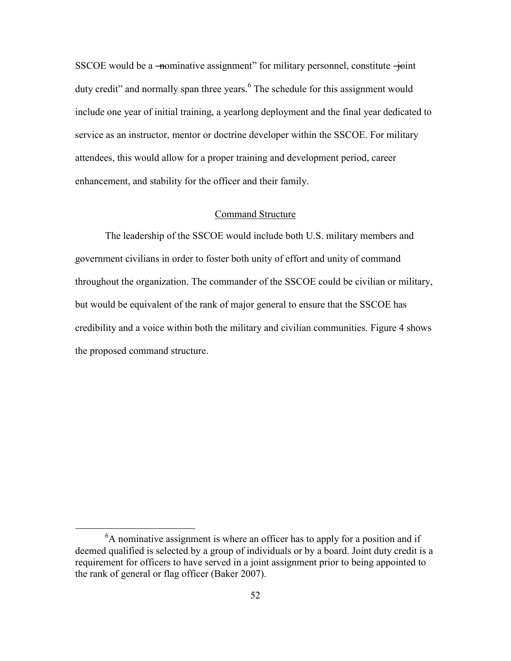SSCOE would be a —nominative assignment" for military personnel, constitute  $\overline{+}$ oint duty credit" and normally span three years.<sup>6</sup> The schedule for this assignment would include one year of initial training, a yearlong deployment and the final year dedicated to service as an instructor, mentor or doctrine developer within the SSCOE. For military attendees, this would allow for a proper training and development period, career enhancement, and stability for the officer and their family.

### Command Structure

The leadership of the SSCOE would include both U.S. military members and government civilians in order to foster both unity of effort and unity of command throughout the organization. The commander of the SSCOE could be civilian or military, but would be equivalent of the rank of major general to ensure that the SSCOE has credibility and a voice within both the military and civilian communities. Figure 4 shows the proposed command structure.

 $\overline{a}$ 

 ${}^{6}$ A nominative assignment is where an officer has to apply for a position and if deemed qualified is selected by a group of individuals or by a board. Joint duty credit is a requirement for officers to have served in a joint assignment prior to being appointed to the rank of general or flag officer (Baker 2007).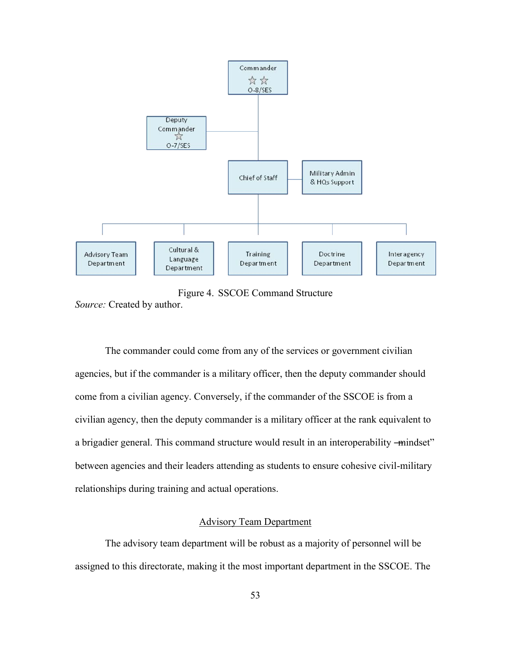

Figure 4. SSCOE Command Structure

*Source:* Created by author.

The commander could come from any of the services or government civilian agencies, but if the commander is a military officer, then the deputy commander should come from a civilian agency. Conversely, if the commander of the SSCOE is from a civilian agency, then the deputy commander is a military officer at the rank equivalent to a brigadier general. This command structure would result in an interoperability —mindset" between agencies and their leaders attending as students to ensure cohesive civil-military relationships during training and actual operations.

### Advisory Team Department

The advisory team department will be robust as a majority of personnel will be assigned to this directorate, making it the most important department in the SSCOE. The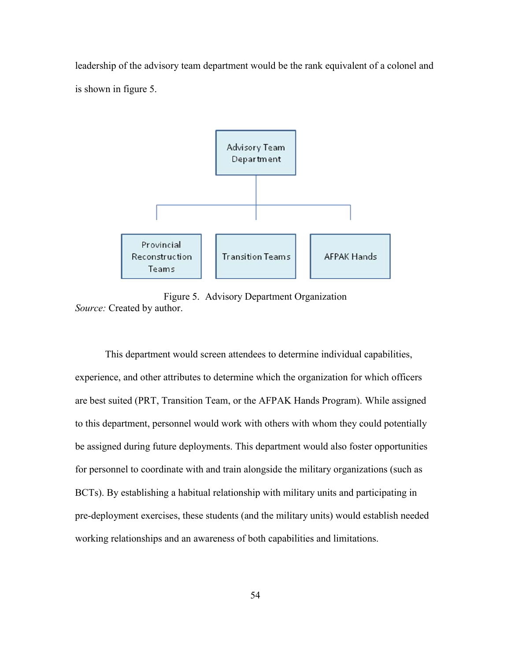leadership of the advisory team department would be the rank equivalent of a colonel and is shown in figure 5.



Figure 5. Advisory Department Organization *Source:* Created by author.

This department would screen attendees to determine individual capabilities, experience, and other attributes to determine which the organization for which officers are best suited (PRT, Transition Team, or the AFPAK Hands Program). While assigned to this department, personnel would work with others with whom they could potentially be assigned during future deployments. This department would also foster opportunities for personnel to coordinate with and train alongside the military organizations (such as BCTs). By establishing a habitual relationship with military units and participating in pre-deployment exercises, these students (and the military units) would establish needed working relationships and an awareness of both capabilities and limitations.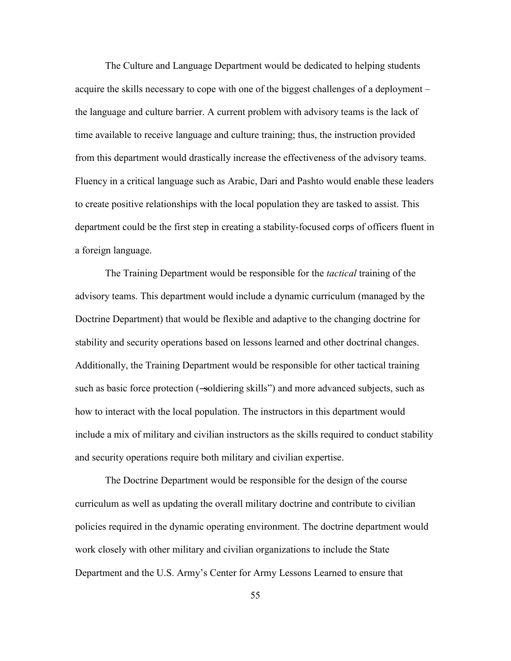The Culture and Language Department would be dedicated to helping students acquire the skills necessary to cope with one of the biggest challenges of a deployment – the language and culture barrier. A current problem with advisory teams is the lack of time available to receive language and culture training; thus, the instruction provided from this department would drastically increase the effectiveness of the advisory teams. Fluency in a critical language such as Arabic, Dari and Pashto would enable these leaders to create positive relationships with the local population they are tasked to assist. This department could be the first step in creating a stability-focused corps of officers fluent in a foreign language.

The Training Department would be responsible for the *tactical* training of the advisory teams. This department would include a dynamic curriculum (managed by the Doctrine Department) that would be flexible and adaptive to the changing doctrine for stability and security operations based on lessons learned and other doctrinal changes. Additionally, the Training Department would be responsible for other tactical training such as basic force protection (-soldiering skills<sup>"</sup>) and more advanced subjects, such as how to interact with the local population. The instructors in this department would include a mix of military and civilian instructors as the skills required to conduct stability and security operations require both military and civilian expertise.

The Doctrine Department would be responsible for the design of the course curriculum as well as updating the overall military doctrine and contribute to civilian policies required in the dynamic operating environment. The doctrine department would work closely with other military and civilian organizations to include the State Department and the U.S. Army's Center for Army Lessons Learned to ensure that

55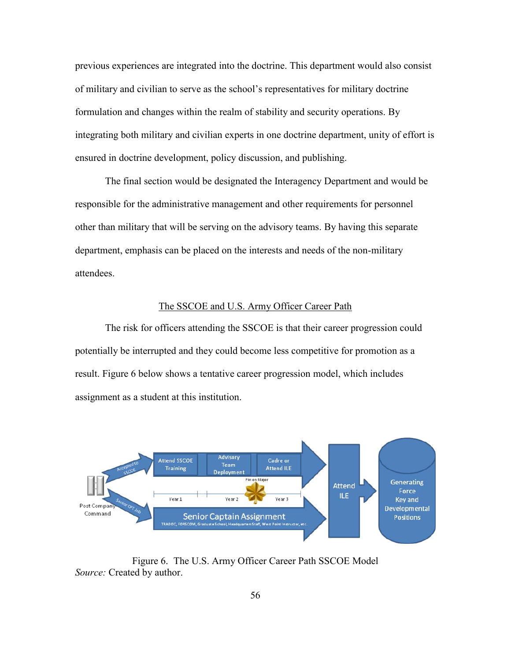previous experiences are integrated into the doctrine. This department would also consist of military and civilian to serve as the school's representatives for military doctrine formulation and changes within the realm of stability and security operations. By integrating both military and civilian experts in one doctrine department, unity of effort is ensured in doctrine development, policy discussion, and publishing.

The final section would be designated the Interagency Department and would be responsible for the administrative management and other requirements for personnel other than military that will be serving on the advisory teams. By having this separate department, emphasis can be placed on the interests and needs of the non-military attendees.

#### The SSCOE and U.S. Army Officer Career Path

The risk for officers attending the SSCOE is that their career progression could potentially be interrupted and they could become less competitive for promotion as a result. Figure 6 below shows a tentative career progression model, which includes assignment as a student at this institution.



Figure 6. The U.S. Army Officer Career Path SSCOE Model *Source:* Created by author.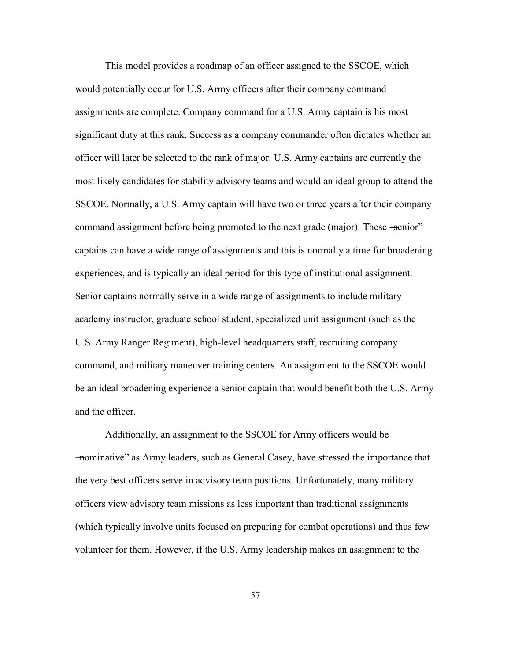This model provides a roadmap of an officer assigned to the SSCOE, which would potentially occur for U.S. Army officers after their company command assignments are complete. Company command for a U.S. Army captain is his most significant duty at this rank. Success as a company commander often dictates whether an officer will later be selected to the rank of major. U.S. Army captains are currently the most likely candidates for stability advisory teams and would an ideal group to attend the SSCOE. Normally, a U.S. Army captain will have two or three years after their company command assignment before being promoted to the next grade (major). These -senior" captains can have a wide range of assignments and this is normally a time for broadening experiences, and is typically an ideal period for this type of institutional assignment. Senior captains normally serve in a wide range of assignments to include military academy instructor, graduate school student, specialized unit assignment (such as the U.S. Army Ranger Regiment), high-level headquarters staff, recruiting company command, and military maneuver training centers. An assignment to the SSCOE would be an ideal broadening experience a senior captain that would benefit both the U.S. Army and the officer.

Additionally, an assignment to the SSCOE for Army officers would be ―nominative‖ as Army leaders, such as General Casey, have stressed the importance that the very best officers serve in advisory team positions. Unfortunately, many military officers view advisory team missions as less important than traditional assignments (which typically involve units focused on preparing for combat operations) and thus few volunteer for them. However, if the U.S. Army leadership makes an assignment to the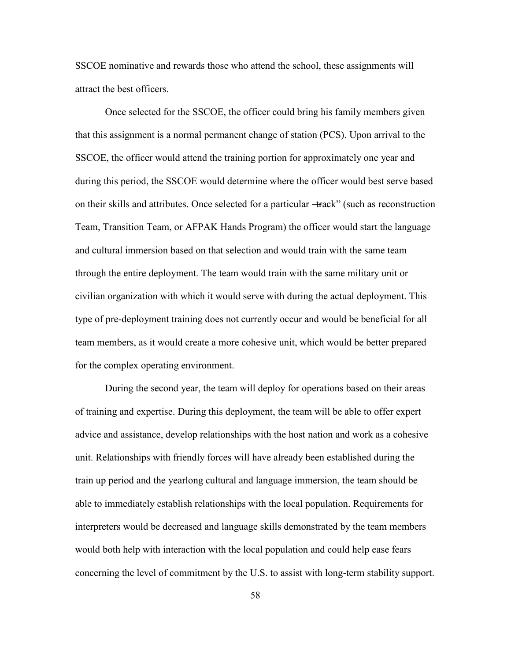SSCOE nominative and rewards those who attend the school, these assignments will attract the best officers.

Once selected for the SSCOE, the officer could bring his family members given that this assignment is a normal permanent change of station (PCS). Upon arrival to the SSCOE, the officer would attend the training portion for approximately one year and during this period, the SSCOE would determine where the officer would best serve based on their skills and attributes. Once selected for a particular —track" (such as reconstruction Team, Transition Team, or AFPAK Hands Program) the officer would start the language and cultural immersion based on that selection and would train with the same team through the entire deployment. The team would train with the same military unit or civilian organization with which it would serve with during the actual deployment. This type of pre-deployment training does not currently occur and would be beneficial for all team members, as it would create a more cohesive unit, which would be better prepared for the complex operating environment.

During the second year, the team will deploy for operations based on their areas of training and expertise. During this deployment, the team will be able to offer expert advice and assistance, develop relationships with the host nation and work as a cohesive unit. Relationships with friendly forces will have already been established during the train up period and the yearlong cultural and language immersion, the team should be able to immediately establish relationships with the local population. Requirements for interpreters would be decreased and language skills demonstrated by the team members would both help with interaction with the local population and could help ease fears concerning the level of commitment by the U.S. to assist with long-term stability support.

58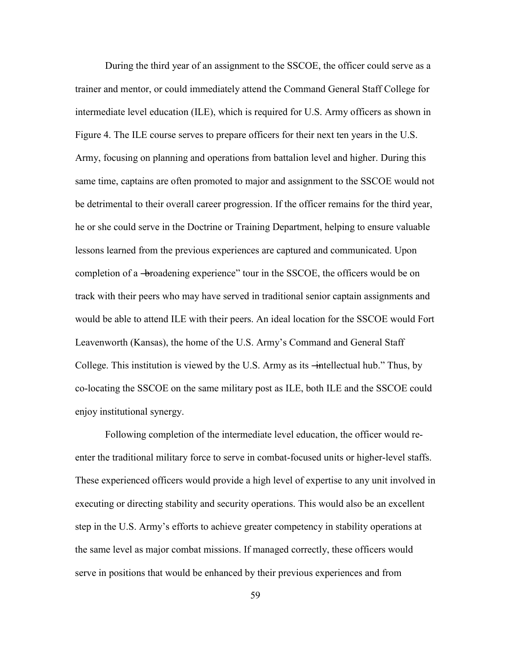During the third year of an assignment to the SSCOE, the officer could serve as a trainer and mentor, or could immediately attend the Command General Staff College for intermediate level education (ILE), which is required for U.S. Army officers as shown in Figure 4. The ILE course serves to prepare officers for their next ten years in the U.S. Army, focusing on planning and operations from battalion level and higher. During this same time, captains are often promoted to major and assignment to the SSCOE would not be detrimental to their overall career progression. If the officer remains for the third year, he or she could serve in the Doctrine or Training Department, helping to ensure valuable lessons learned from the previous experiences are captured and communicated. Upon completion of a -broadening experience" tour in the SSCOE, the officers would be on track with their peers who may have served in traditional senior captain assignments and would be able to attend ILE with their peers. An ideal location for the SSCOE would Fort Leavenworth (Kansas), the home of the U.S. Army's Command and General Staff College. This institution is viewed by the U.S. Army as its  $\div$  intellectual hub." Thus, by co-locating the SSCOE on the same military post as ILE, both ILE and the SSCOE could enjoy institutional synergy.

Following completion of the intermediate level education, the officer would reenter the traditional military force to serve in combat-focused units or higher-level staffs. These experienced officers would provide a high level of expertise to any unit involved in executing or directing stability and security operations. This would also be an excellent step in the U.S. Army's efforts to achieve greater competency in stability operations at the same level as major combat missions. If managed correctly, these officers would serve in positions that would be enhanced by their previous experiences and from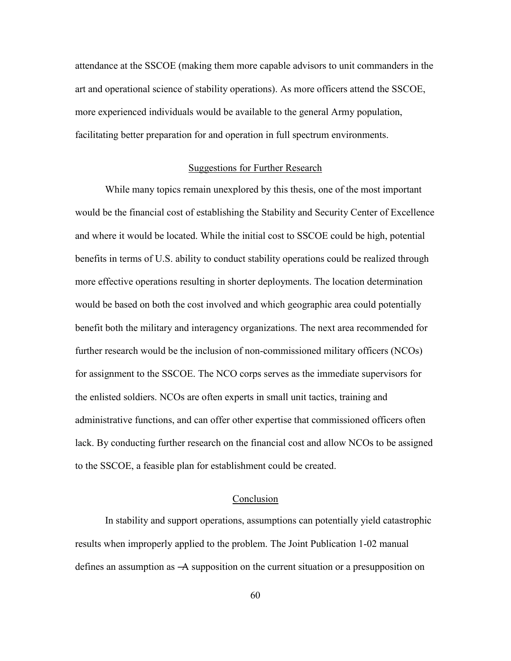attendance at the SSCOE (making them more capable advisors to unit commanders in the art and operational science of stability operations). As more officers attend the SSCOE, more experienced individuals would be available to the general Army population, facilitating better preparation for and operation in full spectrum environments.

#### Suggestions for Further Research

While many topics remain unexplored by this thesis, one of the most important would be the financial cost of establishing the Stability and Security Center of Excellence and where it would be located. While the initial cost to SSCOE could be high, potential benefits in terms of U.S. ability to conduct stability operations could be realized through more effective operations resulting in shorter deployments. The location determination would be based on both the cost involved and which geographic area could potentially benefit both the military and interagency organizations. The next area recommended for further research would be the inclusion of non-commissioned military officers (NCOs) for assignment to the SSCOE. The NCO corps serves as the immediate supervisors for the enlisted soldiers. NCOs are often experts in small unit tactics, training and administrative functions, and can offer other expertise that commissioned officers often lack. By conducting further research on the financial cost and allow NCOs to be assigned to the SSCOE, a feasible plan for establishment could be created.

### Conclusion

In stability and support operations, assumptions can potentially yield catastrophic results when improperly applied to the problem. The Joint Publication 1-02 manual defines an assumption as ―A supposition on the current situation or a presupposition on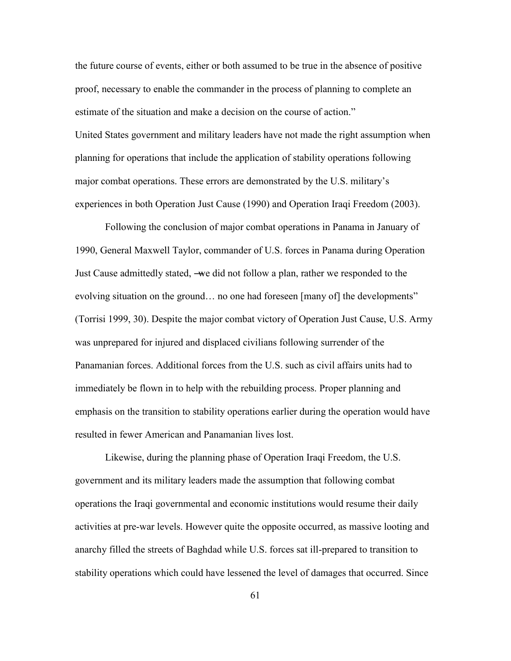the future course of events, either or both assumed to be true in the absence of positive proof, necessary to enable the commander in the process of planning to complete an estimate of the situation and make a decision on the course of action." United States government and military leaders have not made the right assumption when planning for operations that include the application of stability operations following major combat operations. These errors are demonstrated by the U.S. military's experiences in both Operation Just Cause (1990) and Operation Iraqi Freedom (2003).

Following the conclusion of major combat operations in Panama in January of 1990, General Maxwell Taylor, commander of U.S. forces in Panama during Operation Just Cause admittedly stated, ―we did not follow a plan, rather we responded to the evolving situation on the ground... no one had foreseen [many of] the developments" (Torrisi 1999, 30). Despite the major combat victory of Operation Just Cause, U.S. Army was unprepared for injured and displaced civilians following surrender of the Panamanian forces. Additional forces from the U.S. such as civil affairs units had to immediately be flown in to help with the rebuilding process. Proper planning and emphasis on the transition to stability operations earlier during the operation would have resulted in fewer American and Panamanian lives lost.

Likewise, during the planning phase of Operation Iraqi Freedom, the U.S. government and its military leaders made the assumption that following combat operations the Iraqi governmental and economic institutions would resume their daily activities at pre-war levels. However quite the opposite occurred, as massive looting and anarchy filled the streets of Baghdad while U.S. forces sat ill-prepared to transition to stability operations which could have lessened the level of damages that occurred. Since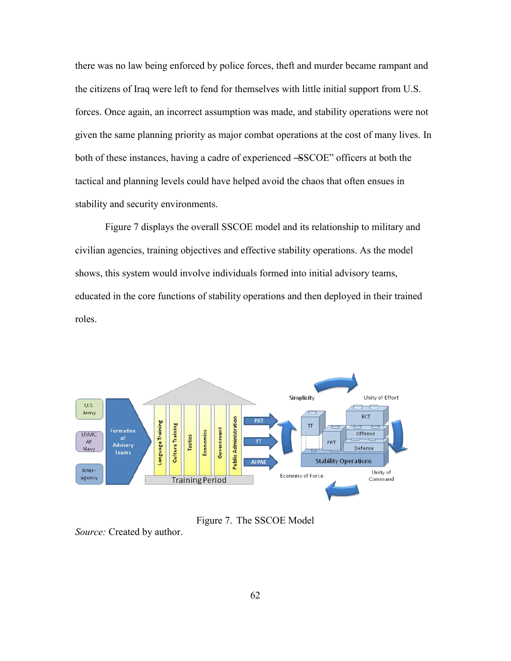there was no law being enforced by police forces, theft and murder became rampant and the citizens of Iraq were left to fend for themselves with little initial support from U.S. forces. Once again, an incorrect assumption was made, and stability operations were not given the same planning priority as major combat operations at the cost of many lives. In both of these instances, having a cadre of experienced –SSCOE" officers at both the tactical and planning levels could have helped avoid the chaos that often ensues in stability and security environments.

Figure 7 displays the overall SSCOE model and its relationship to military and civilian agencies, training objectives and effective stability operations. As the model shows, this system would involve individuals formed into initial advisory teams, educated in the core functions of stability operations and then deployed in their trained roles.



Figure 7. The SSCOE Model

*Source:* Created by author.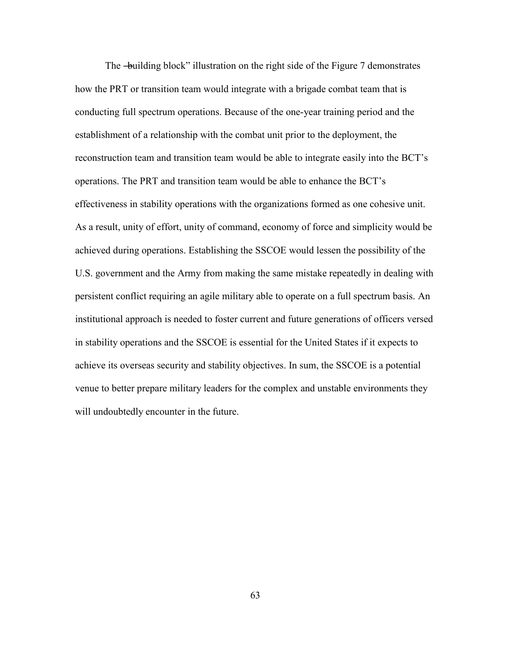The —building block" illustration on the right side of the Figure 7 demonstrates how the PRT or transition team would integrate with a brigade combat team that is conducting full spectrum operations. Because of the one-year training period and the establishment of a relationship with the combat unit prior to the deployment, the reconstruction team and transition team would be able to integrate easily into the BCT's operations. The PRT and transition team would be able to enhance the BCT's effectiveness in stability operations with the organizations formed as one cohesive unit. As a result, unity of effort, unity of command, economy of force and simplicity would be achieved during operations. Establishing the SSCOE would lessen the possibility of the U.S. government and the Army from making the same mistake repeatedly in dealing with persistent conflict requiring an agile military able to operate on a full spectrum basis. An institutional approach is needed to foster current and future generations of officers versed in stability operations and the SSCOE is essential for the United States if it expects to achieve its overseas security and stability objectives. In sum, the SSCOE is a potential venue to better prepare military leaders for the complex and unstable environments they will undoubtedly encounter in the future.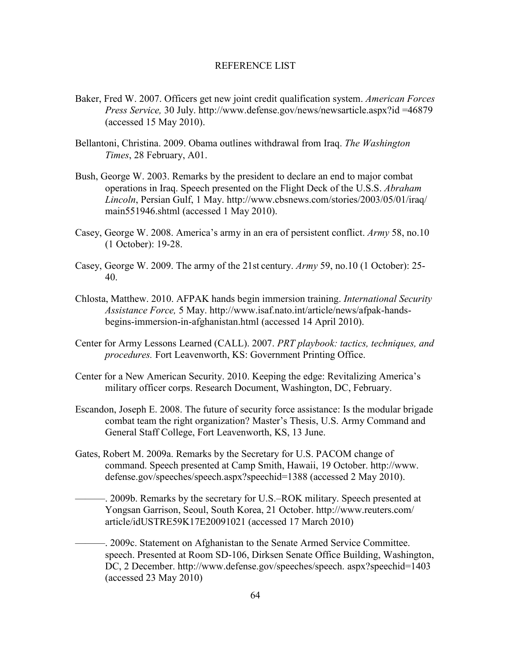## REFERENCE LIST

- Baker, Fred W. 2007. Officers get new joint credit qualification system. *American Forces Press Service,* 30 July. http://www.defense.gov/news/newsarticle.aspx?id =46879 (accessed 15 May 2010).
- Bellantoni, Christina. 2009. Obama outlines withdrawal from Iraq. *The Washington Times*, 28 February, A01.
- Bush, George W. 2003. Remarks by the president to declare an end to major combat operations in Iraq. Speech presented on the Flight Deck of the U.S.S. *Abraham Lincoln*, Persian Gulf, 1 May. http://www.cbsnews.com/stories/2003/05/01/iraq/ main551946.shtml (accessed 1 May 2010).
- Casey, George W. 2008. America's army in an era of persistent conflict. *Army* 58, no.10 (1 October): 19-28.
- Casey, George W. 2009. The army of the 21st century. *Army* 59, no.10 (1 October): 25- 40.
- Chlosta, Matthew. 2010. AFPAK hands begin immersion training. *International Security Assistance Force,* 5 May. http://www.isaf.nato.int/article/news/afpak-handsbegins-immersion-in-afghanistan.html (accessed 14 April 2010).
- Center for Army Lessons Learned (CALL). 2007. *PRT playbook: tactics, techniques, and procedures.* Fort Leavenworth, KS: Government Printing Office.
- Center for a New American Security. 2010. Keeping the edge: Revitalizing America's military officer corps. Research Document, Washington, DC, February.
- Escandon, Joseph E. 2008. The future of security force assistance: Is the modular brigade combat team the right organization? Master's Thesis, U.S. Army Command and General Staff College, Fort Leavenworth, KS, 13 June.
- Gates, Robert M. 2009a. Remarks by the Secretary for U.S. PACOM change of command. Speech presented at Camp Smith, Hawaii, 19 October. http://www. defense.gov/speeches/speech.aspx?speechid=1388 (accessed 2 May 2010).
	- ———. 2009b. Remarks by the secretary for U.S.–ROK military. Speech presented at Yongsan Garrison, Seoul, South Korea, 21 October. http://www.reuters.com/ article/idUSTRE59K17E20091021 (accessed 17 March 2010)
	- ———. 2009c. Statement on Afghanistan to the Senate Armed Service Committee. speech. Presented at Room SD-106, Dirksen Senate Office Building, Washington, DC, 2 December. http://www.defense.gov/speeches/speech. aspx?speechid=1403 (accessed 23 May 2010)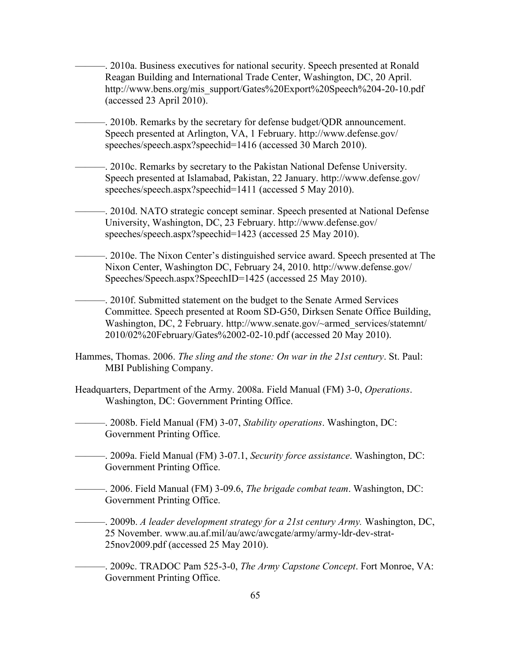———. 2010a. Business executives for national security. Speech presented at Ronald Reagan Building and International Trade Center, Washington, DC, 20 April. http://www.bens.org/mis\_support/Gates%20Export%20Speech%204-20-10.pdf (accessed 23 April 2010).

———. 2010b. Remarks by the secretary for defense budget/QDR announcement. Speech presented at Arlington, VA, 1 February. http://www.defense.gov/ speeches/speech.aspx?speechid=1416 (accessed 30 March 2010).

———. 2010c. Remarks by secretary to the Pakistan National Defense University. Speech presented at Islamabad, Pakistan, 22 January. http://www.defense.gov/ speeches/speech.aspx?speechid=1411 (accessed 5 May 2010).

-. 2010d. NATO strategic concept seminar. Speech presented at National Defense University, Washington, DC, 23 February. http://www.defense.gov/ speeches/speech.aspx?speechid=1423 (accessed 25 May 2010).

———. 2010e. The Nixon Center's distinguished service award. Speech presented at The Nixon Center, Washington DC, February 24, 2010. http://www.defense.gov/ Speeches/Speech.aspx?SpeechID=1425 (accessed 25 May 2010).

———. 2010f. Submitted statement on the budget to the Senate Armed Services Committee. Speech presented at Room SD-G50, Dirksen Senate Office Building, Washington, DC, 2 February. http://www.senate.gov/~armed\_services/statemnt/ 2010/02%20February/Gates%2002-02-10.pdf (accessed 20 May 2010).

- Hammes, Thomas. 2006. *The sling and the stone: On war in the 21st century*. St. Paul: MBI Publishing Company.
- Headquarters, Department of the Army. 2008a. Field Manual (FM) 3-0, *Operations*. Washington, DC: Government Printing Office.

———. 2008b. Field Manual (FM) 3-07, *Stability operations*. Washington, DC: Government Printing Office.

- ———. 2009a. Field Manual (FM) 3-07.1, *Security force assistance*. Washington, DC: Government Printing Office.
- ———. 2006. Field Manual (FM) 3-09.6, *The brigade combat team*. Washington, DC: Government Printing Office.

———. 2009b. *A leader development strategy for a 21st century Army.* Washington, DC, 25 November. www.au.af.mil/au/awc/awcgate/army/army-ldr-dev-strat-25nov2009.pdf (accessed 25 May 2010).

———. 2009c. TRADOC Pam 525-3-0, *The Army Capstone Concept*. Fort Monroe, VA: Government Printing Office.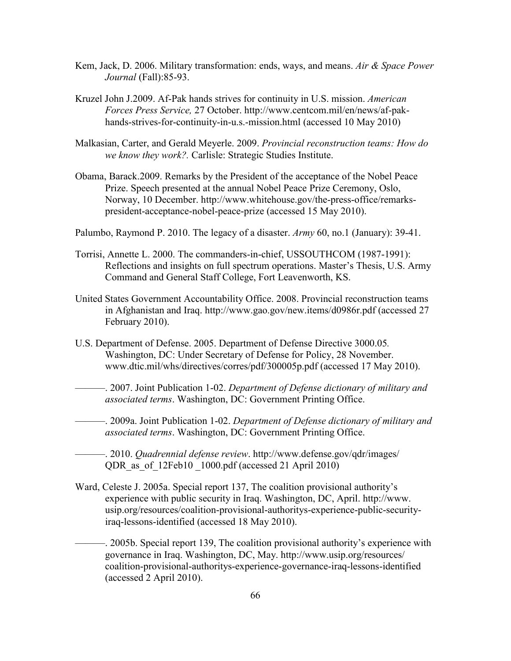- Kem, Jack, D. 2006. Military transformation: ends, ways, and means. *Air & Space Power Journal* (Fall):85-93.
- Kruzel John J.2009. Af-Pak hands strives for continuity in U.S. mission. *American Forces Press Service,* 27 October. http://www.centcom.mil/en/news/af-pakhands-strives-for-continuity-in-u.s.-mission.html (accessed 10 May 2010)
- Malkasian, Carter, and Gerald Meyerle. 2009. *Provincial reconstruction teams: How do we know they work?.* Carlisle: Strategic Studies Institute.
- Obama, Barack.2009. Remarks by the President of the acceptance of the Nobel Peace Prize. Speech presented at the annual Nobel Peace Prize Ceremony, Oslo, Norway, 10 December. http://www.whitehouse.gov/the-press-office/remarkspresident-acceptance-nobel-peace-prize (accessed 15 May 2010).
- Palumbo, Raymond P. 2010. The legacy of a disaster. *Army* 60, no.1 (January): 39-41.
- Torrisi, Annette L. 2000. The commanders-in-chief, USSOUTHCOM (1987-1991): Reflections and insights on full spectrum operations. Master's Thesis, U.S. Army Command and General Staff College, Fort Leavenworth, KS.
- United States Government Accountability Office. 2008. Provincial reconstruction teams in Afghanistan and Iraq. http://www.gao.gov/new.items/d0986r.pdf (accessed 27 February 2010).
- U.S. Department of Defense. 2005. Department of Defense Directive 3000.05*.*  Washington, DC: Under Secretary of Defense for Policy, 28 November. www.dtic.mil/whs/directives/corres/pdf/300005p.pdf (accessed 17 May 2010).
	- ———. 2007. Joint Publication 1-02. *Department of Defense dictionary of military and associated terms*. Washington, DC: Government Printing Office.
- ———. 2009a. Joint Publication 1-02. *Department of Defense dictionary of military and associated terms*. Washington, DC: Government Printing Office.
- ———. 2010. *Quadrennial defense review*. http://www.defense.gov/qdr/images/ QDR as of 12Feb10 1000.pdf (accessed 21 April 2010)
- Ward, Celeste J. 2005a. Special report 137, The coalition provisional authority's experience with public security in Iraq. Washington, DC, April. http://www. usip.org/resources/coalition-provisional-authoritys-experience-public-securityiraq-lessons-identified (accessed 18 May 2010).
	- ———. 2005b. Special report 139, The coalition provisional authority's experience with governance in Iraq. Washington, DC, May. http://www.usip.org/resources/ coalition-provisional-authoritys-experience-governance-iraq-lessons-identified (accessed 2 April 2010).